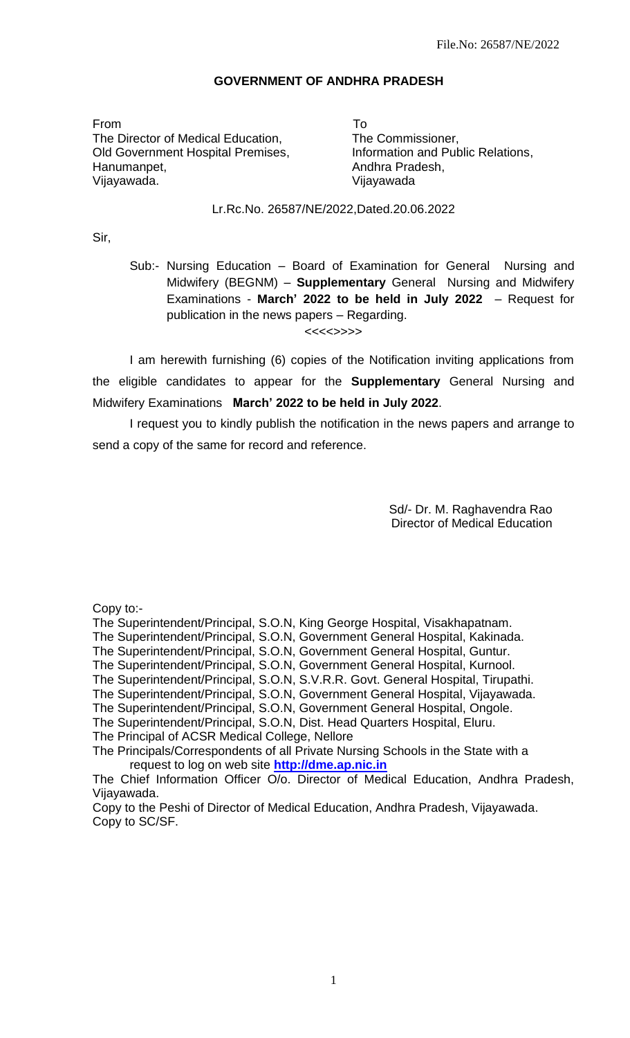### **GOVERNMENT OF ANDHRA PRADESH**

From To The Director of Medical Education, The Commissioner, Old Government Hospital Premises, **Information and Public Relations**, Hanumanpet, Andhra Pradesh, Vijayawada. Vijayawada

### Lr.Rc.No. 26587/NE/2022,Dated.20.06.2022

Sir,

Sub:- Nursing Education – Board of Examination for General Nursing and Midwifery (BEGNM) – **Supplementary** General Nursing and Midwifery Examinations - **March' 2022 to be held in July 2022** – Request for publication in the news papers – Regarding.

<<<<>>>>

I am herewith furnishing (6) copies of the Notification inviting applications from the eligible candidates to appear for the **Supplementary** General Nursing and Midwifery Examinations **March' 2022 to be held in July 2022**.

I request you to kindly publish the notification in the news papers and arrange to send a copy of the same for record and reference.

> Sd/- Dr. M. Raghavendra Rao **Director of Medical Education**

Copy to:-

The Superintendent/Principal, S.O.N, King George Hospital, Visakhapatnam.

The Superintendent/Principal, S.O.N, Government General Hospital, Kakinada.

The Superintendent/Principal, S.O.N, Government General Hospital, Guntur.

The Superintendent/Principal, S.O.N, Government General Hospital, Kurnool.

The Superintendent/Principal, S.O.N, S.V.R.R. Govt. General Hospital, Tirupathi.

The Superintendent/Principal, S.O.N, Government General Hospital, Vijayawada.

The Superintendent/Principal, S.O.N, Government General Hospital, Ongole.

The Superintendent/Principal, S.O.N, Dist. Head Quarters Hospital, Eluru.

The Principal of ACSR Medical College, Nellore

The Principals/Correspondents of all Private Nursing Schools in the State with a request to log on web site **[http://dme.ap.nic.in](http://dme.ap.nic.in/)**

The Chief Information Officer O/o. Director of Medical Education, Andhra Pradesh, Vijayawada.

Copy to the Peshi of Director of Medical Education, Andhra Pradesh, Vijayawada. Copy to SC/SF.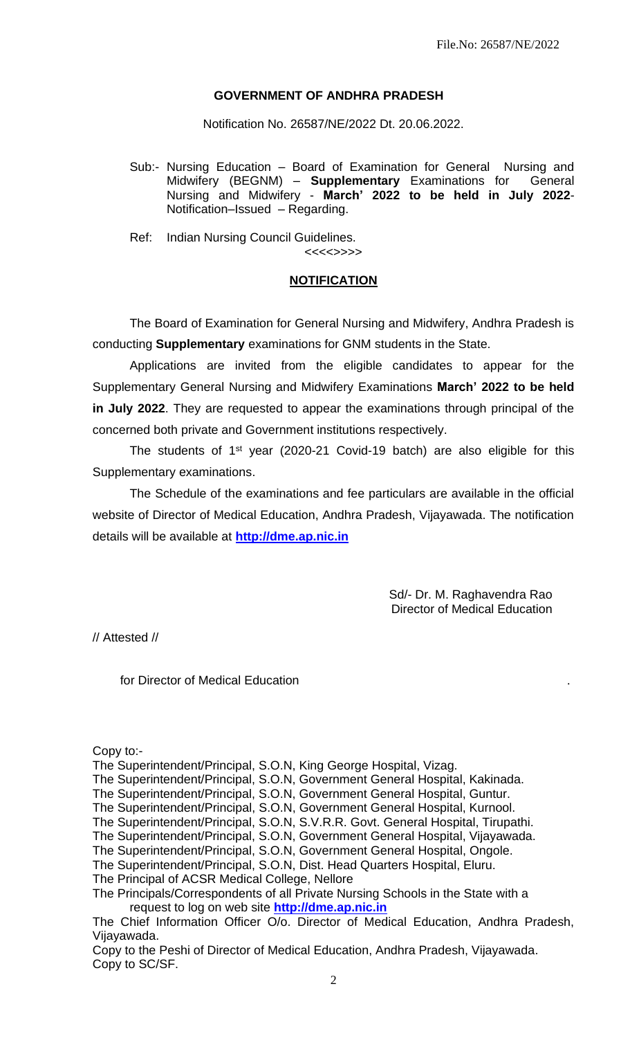## **GOVERNMENT OF ANDHRA PRADESH**

Notification No. 26587/NE/2022 Dt. 20.06.2022.

Sub:- Nursing Education – Board of Examination for General Nursing and Midwifery (BEGNM) – **Supplementary** Examinations for General Nursing and Midwifery - **March' 2022 to be held in July 2022**- Notification–Issued – Regarding.

Ref: Indian Nursing Council Guidelines. <<<<>>>>

#### **NOTIFICATION**

The Board of Examination for General Nursing and Midwifery, Andhra Pradesh is conducting **Supplementary** examinations for GNM students in the State.

Applications are invited from the eligible candidates to appear for the Supplementary General Nursing and Midwifery Examinations **March' 2022 to be held in July 2022**. They are requested to appear the examinations through principal of the concerned both private and Government institutions respectively.

The students of  $1<sup>st</sup>$  year (2020-21 Covid-19 batch) are also eligible for this Supplementary examinations.

The Schedule of the examinations and fee particulars are available in the official website of Director of Medical Education, Andhra Pradesh, Vijayawada. The notification details will be available at **[http://dme.ap.nic.in](http://dme.ap.nic.in/)**

> Sd/- Dr. M. Raghavendra Rao **Director of Medical Education**

// Attested //

for Director of Medical Education .

Copy to:-

The Superintendent/Principal, S.O.N, King George Hospital, Vizag.

The Superintendent/Principal, S.O.N, Government General Hospital, Guntur.

The Superintendent/Principal, S.O.N, Government General Hospital, Kurnool.

The Superintendent/Principal, S.O.N, S.V.R.R. Govt. General Hospital, Tirupathi.

The Superintendent/Principal, S.O.N, Government General Hospital, Vijayawada.

The Superintendent/Principal, S.O.N, Government General Hospital, Ongole.

The Superintendent/Principal, S.O.N, Dist. Head Quarters Hospital, Eluru.

The Principal of ACSR Medical College, Nellore

The Superintendent/Principal, S.O.N, Government General Hospital, Kakinada.

The Principals/Correspondents of all Private Nursing Schools in the State with a request to log on web site **[http://dme.ap.nic.in](http://dme.ap.nic.in/)**

The Chief Information Officer O/o. Director of Medical Education, Andhra Pradesh, Vijayawada.

Copy to the Peshi of Director of Medical Education, Andhra Pradesh, Vijayawada. Copy to SC/SF.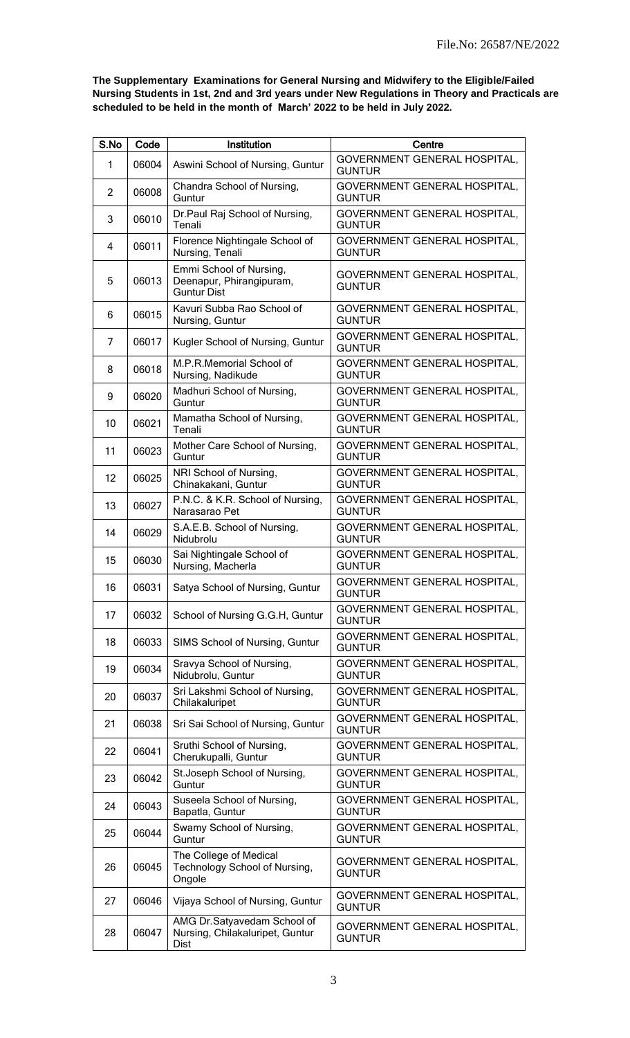**The Supplementary Examinations for General Nursing and Midwifery to the Eligible/Failed Nursing Students in 1st, 2nd and 3rd years under New Regulations in Theory and Practicals are scheduled to be held in the month of March' 2022 to be held in July 2022.**

| S.No              | Code  | Institution                                                               | Centre                                        |
|-------------------|-------|---------------------------------------------------------------------------|-----------------------------------------------|
| 1                 | 06004 | Aswini School of Nursing, Guntur                                          | GOVERNMENT GENERAL HOSPITAL,<br><b>GUNTUR</b> |
| $\overline{2}$    | 06008 | Chandra School of Nursing,<br>Guntur                                      | GOVERNMENT GENERAL HOSPITAL,<br><b>GUNTUR</b> |
| 3                 | 06010 | Dr.Paul Raj School of Nursing,<br>Tenali                                  | GOVERNMENT GENERAL HOSPITAL,<br><b>GUNTUR</b> |
| 4                 | 06011 | Florence Nightingale School of<br>Nursing, Tenali                         | GOVERNMENT GENERAL HOSPITAL,<br><b>GUNTUR</b> |
| 5                 | 06013 | Emmi School of Nursing,<br>Deenapur, Phirangipuram,<br><b>Guntur Dist</b> | GOVERNMENT GENERAL HOSPITAL,<br><b>GUNTUR</b> |
| 6                 | 06015 | Kavuri Subba Rao School of<br>Nursing, Guntur                             | GOVERNMENT GENERAL HOSPITAL,<br><b>GUNTUR</b> |
| 7                 | 06017 | Kugler School of Nursing, Guntur                                          | GOVERNMENT GENERAL HOSPITAL,<br><b>GUNTUR</b> |
| 8                 | 06018 | M.P.R.Memorial School of<br>Nursing, Nadikude                             | GOVERNMENT GENERAL HOSPITAL,<br><b>GUNTUR</b> |
| 9                 | 06020 | Madhuri School of Nursing,<br>Guntur                                      | GOVERNMENT GENERAL HOSPITAL,<br><b>GUNTUR</b> |
| 10                | 06021 | Mamatha School of Nursing,<br>Tenali                                      | GOVERNMENT GENERAL HOSPITAL,<br><b>GUNTUR</b> |
| 11                | 06023 | Mother Care School of Nursing,<br>Guntur                                  | GOVERNMENT GENERAL HOSPITAL,<br><b>GUNTUR</b> |
| $12 \overline{ }$ | 06025 | NRI School of Nursing,<br>Chinakakani, Guntur                             | GOVERNMENT GENERAL HOSPITAL,<br><b>GUNTUR</b> |
| 13                | 06027 | P.N.C. & K.R. School of Nursing,<br>Narasarao Pet                         | GOVERNMENT GENERAL HOSPITAL,<br><b>GUNTUR</b> |
| 14                | 06029 | S.A.E.B. School of Nursing,<br>Nidubrolu                                  | GOVERNMENT GENERAL HOSPITAL,<br><b>GUNTUR</b> |
| 15                | 06030 | Sai Nightingale School of<br>Nursing, Macherla                            | GOVERNMENT GENERAL HOSPITAL,<br><b>GUNTUR</b> |
| 16                | 06031 | Satya School of Nursing, Guntur                                           | GOVERNMENT GENERAL HOSPITAL,<br><b>GUNTUR</b> |
| 17                | 06032 | School of Nursing G.G.H, Guntur                                           | GOVERNMENT GENERAL HOSPITAL,<br><b>GUNTUR</b> |
| 18                | 06033 | SIMS School of Nursing, Guntur                                            | GOVERNMENT GENERAL HOSPITAL,<br><b>GUNTUR</b> |
| 19                | 06034 | Sravya School of Nursing,<br>Nidubrolu, Guntur                            | GOVERNMENT GENERAL HOSPITAL,<br><b>GUNTUR</b> |
| 20                | 06037 | Sri Lakshmi School of Nursing,<br>Chilakaluripet                          | GOVERNMENT GENERAL HOSPITAL,<br><b>GUNTUR</b> |
| 21                | 06038 | Sri Sai School of Nursing, Guntur                                         | GOVERNMENT GENERAL HOSPITAL,<br><b>GUNTUR</b> |
| 22                | 06041 | Sruthi School of Nursing,<br>Cherukupalli, Guntur                         | GOVERNMENT GENERAL HOSPITAL,<br><b>GUNTUR</b> |
| 23                | 06042 | St. Joseph School of Nursing,<br>Guntur                                   | GOVERNMENT GENERAL HOSPITAL,<br><b>GUNTUR</b> |
| 24                | 06043 | Suseela School of Nursing,<br>Bapatla, Guntur                             | GOVERNMENT GENERAL HOSPITAL,<br><b>GUNTUR</b> |
| 25                | 06044 | Swamy School of Nursing,<br>Guntur                                        | GOVERNMENT GENERAL HOSPITAL,<br><b>GUNTUR</b> |
| 26                | 06045 | The College of Medical<br>Technology School of Nursing,<br>Ongole         | GOVERNMENT GENERAL HOSPITAL,<br><b>GUNTUR</b> |
| 27                | 06046 | Vijaya School of Nursing, Guntur                                          | GOVERNMENT GENERAL HOSPITAL,<br><b>GUNTUR</b> |
| 28                | 06047 | AMG Dr.Satyavedam School of<br>Nursing, Chilakaluripet, Guntur<br>Dist    | GOVERNMENT GENERAL HOSPITAL,<br><b>GUNTUR</b> |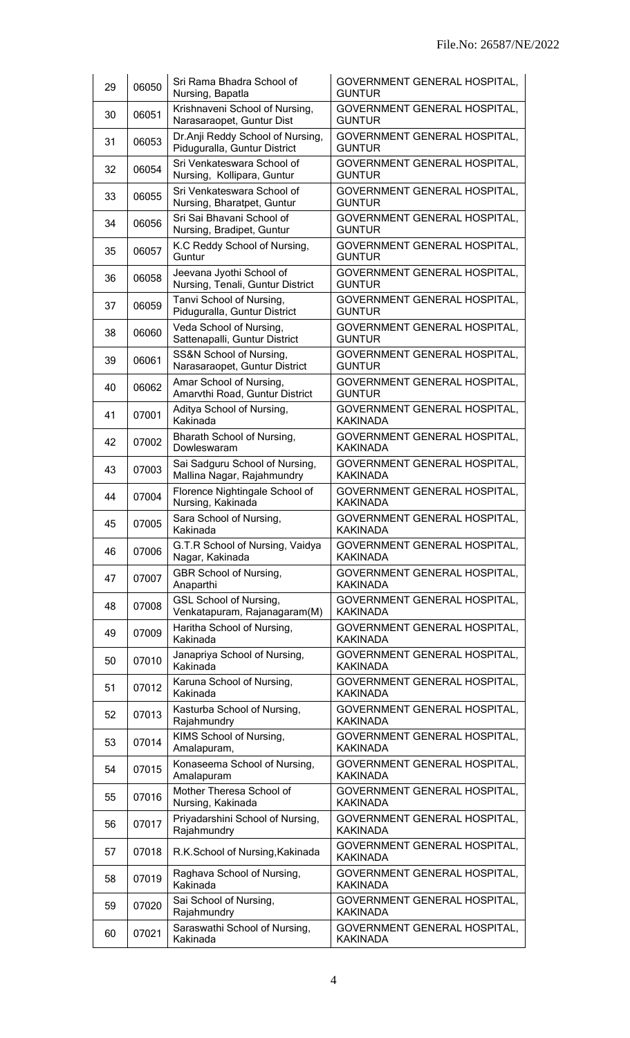| 29 | 06050 | Sri Rama Bhadra School of<br>Nursing, Bapatla                    | GOVERNMENT GENERAL HOSPITAL,<br><b>GUNTUR</b>        |
|----|-------|------------------------------------------------------------------|------------------------------------------------------|
| 30 | 06051 | Krishnaveni School of Nursing,<br>Narasaraopet, Guntur Dist      | GOVERNMENT GENERAL HOSPITAL,<br><b>GUNTUR</b>        |
| 31 | 06053 | Dr.Anji Reddy School of Nursing,<br>Piduguralla, Guntur District | GOVERNMENT GENERAL HOSPITAL,<br><b>GUNTUR</b>        |
| 32 | 06054 | Sri Venkateswara School of<br>Nursing, Kollipara, Guntur         | GOVERNMENT GENERAL HOSPITAL,<br><b>GUNTUR</b>        |
| 33 | 06055 | Sri Venkateswara School of<br>Nursing, Bharatpet, Guntur         | GOVERNMENT GENERAL HOSPITAL,<br><b>GUNTUR</b>        |
| 34 | 06056 | Sri Sai Bhavani School of<br>Nursing, Bradipet, Guntur           | GOVERNMENT GENERAL HOSPITAL,<br><b>GUNTUR</b>        |
| 35 | 06057 | K.C Reddy School of Nursing,<br>Guntur                           | GOVERNMENT GENERAL HOSPITAL,<br><b>GUNTUR</b>        |
| 36 | 06058 | Jeevana Jyothi School of<br>Nursing, Tenali, Guntur District     | GOVERNMENT GENERAL HOSPITAL,<br><b>GUNTUR</b>        |
| 37 | 06059 | Tanvi School of Nursing,<br>Piduguralla, Guntur District         | <b>GOVERNMENT GENERAL HOSPITAL,</b><br><b>GUNTUR</b> |
| 38 | 06060 | Veda School of Nursing,<br>Sattenapalli, Guntur District         | GOVERNMENT GENERAL HOSPITAL,<br><b>GUNTUR</b>        |
| 39 | 06061 | SS&N School of Nursing,<br>Narasaraopet, Guntur District         | GOVERNMENT GENERAL HOSPITAL,<br><b>GUNTUR</b>        |
| 40 | 06062 | Amar School of Nursing,<br>Amarvthi Road, Guntur District        | GOVERNMENT GENERAL HOSPITAL,<br><b>GUNTUR</b>        |
| 41 | 07001 | Aditya School of Nursing,<br>Kakinada                            | GOVERNMENT GENERAL HOSPITAL,<br><b>KAKINADA</b>      |
| 42 | 07002 | Bharath School of Nursing,<br>Dowleswaram                        | GOVERNMENT GENERAL HOSPITAL,<br><b>KAKINADA</b>      |
| 43 | 07003 | Sai Sadguru School of Nursing,<br>Mallina Nagar, Rajahmundry     | GOVERNMENT GENERAL HOSPITAL,<br><b>KAKINADA</b>      |
| 44 | 07004 | Florence Nightingale School of<br>Nursing, Kakinada              | GOVERNMENT GENERAL HOSPITAL,<br><b>KAKINADA</b>      |
| 45 | 07005 | Sara School of Nursing,<br>Kakinada                              | GOVERNMENT GENERAL HOSPITAL,<br><b>KAKINADA</b>      |
| 46 | 07006 | G.T.R School of Nursing, Vaidya<br>Nagar, Kakinada               | GOVERNMENT GENERAL HOSPITAL,<br><b>KAKINADA</b>      |
| 47 | 07007 | GBR School of Nursing,<br>Anaparthi                              | GOVERNMENT GENERAL HOSPITAL,<br><b>KAKINADA</b>      |
| 48 | 07008 | <b>GSL School of Nursing,</b><br>Venkatapuram, Rajanagaram(M)    | GOVERNMENT GENERAL HOSPITAL,<br><b>KAKINADA</b>      |
| 49 | 07009 | Haritha School of Nursing,<br>Kakinada                           | GOVERNMENT GENERAL HOSPITAL,<br><b>KAKINADA</b>      |
| 50 | 07010 | Janapriya School of Nursing,<br>Kakinada                         | GOVERNMENT GENERAL HOSPITAL,<br><b>KAKINADA</b>      |
| 51 | 07012 | Karuna School of Nursing,<br>Kakinada                            | GOVERNMENT GENERAL HOSPITAL,<br><b>KAKINADA</b>      |
| 52 | 07013 | Kasturba School of Nursing,<br>Rajahmundry                       | GOVERNMENT GENERAL HOSPITAL,<br><b>KAKINADA</b>      |
| 53 | 07014 | KIMS School of Nursing,<br>Amalapuram,                           | GOVERNMENT GENERAL HOSPITAL,<br><b>KAKINADA</b>      |
| 54 | 07015 | Konaseema School of Nursing,<br>Amalapuram                       | GOVERNMENT GENERAL HOSPITAL,<br><b>KAKINADA</b>      |
| 55 | 07016 | Mother Theresa School of<br>Nursing, Kakinada                    | GOVERNMENT GENERAL HOSPITAL,<br><b>KAKINADA</b>      |
| 56 | 07017 | Priyadarshini School of Nursing,<br>Rajahmundry                  | GOVERNMENT GENERAL HOSPITAL,<br><b>KAKINADA</b>      |
| 57 | 07018 | R.K.School of Nursing, Kakinada                                  | GOVERNMENT GENERAL HOSPITAL,<br><b>KAKINADA</b>      |
| 58 | 07019 | Raghava School of Nursing,<br>Kakinada                           | GOVERNMENT GENERAL HOSPITAL,<br><b>KAKINADA</b>      |
| 59 | 07020 | Sai School of Nursing,<br>Rajahmundry                            | GOVERNMENT GENERAL HOSPITAL,<br><b>KAKINADA</b>      |
| 60 | 07021 | Saraswathi School of Nursing,<br>Kakinada                        | GOVERNMENT GENERAL HOSPITAL,<br><b>KAKINADA</b>      |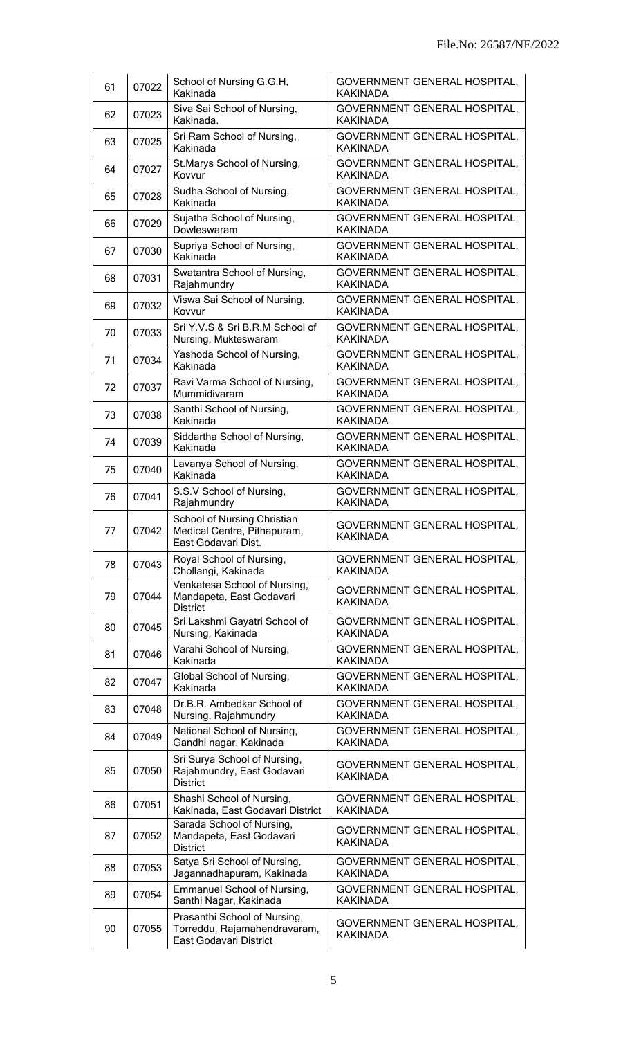| 61 | 07022 | School of Nursing G.G.H,<br>Kakinada                                                   | GOVERNMENT GENERAL HOSPITAL,<br><b>KAKINADA</b>        |  |
|----|-------|----------------------------------------------------------------------------------------|--------------------------------------------------------|--|
| 62 | 07023 | Siva Sai School of Nursing,<br>Kakinada.                                               | GOVERNMENT GENERAL HOSPITAL,<br><b>KAKINADA</b>        |  |
| 63 | 07025 | Sri Ram School of Nursing,<br>Kakinada                                                 | GOVERNMENT GENERAL HOSPITAL,<br><b>KAKINADA</b>        |  |
| 64 | 07027 | St. Marys School of Nursing,<br>Kovvur                                                 | GOVERNMENT GENERAL HOSPITAL,<br><b>KAKINADA</b>        |  |
| 65 | 07028 | Sudha School of Nursing,<br>Kakinada                                                   | GOVERNMENT GENERAL HOSPITAL,<br><b>KAKINADA</b>        |  |
| 66 | 07029 | Sujatha School of Nursing,<br>Dowleswaram                                              | GOVERNMENT GENERAL HOSPITAL,<br><b>KAKINADA</b>        |  |
| 67 | 07030 | Supriya School of Nursing,<br>Kakinada                                                 | GOVERNMENT GENERAL HOSPITAL,<br><b>KAKINADA</b>        |  |
| 68 | 07031 | Swatantra School of Nursing,<br>Rajahmundry                                            | GOVERNMENT GENERAL HOSPITAL,<br><b>KAKINADA</b>        |  |
| 69 | 07032 | Viswa Sai School of Nursing,<br>Kovvur                                                 | GOVERNMENT GENERAL HOSPITAL,<br><b>KAKINADA</b>        |  |
| 70 | 07033 | Sri Y.V.S & Sri B.R.M School of<br>Nursing, Mukteswaram                                | GOVERNMENT GENERAL HOSPITAL,<br><b>KAKINADA</b>        |  |
| 71 | 07034 | Yashoda School of Nursing,<br>Kakinada                                                 | GOVERNMENT GENERAL HOSPITAL,<br><b>KAKINADA</b>        |  |
| 72 | 07037 | Ravi Varma School of Nursing,<br>Mummidivaram                                          | GOVERNMENT GENERAL HOSPITAL,<br><b>KAKINADA</b>        |  |
| 73 | 07038 | Santhi School of Nursing,<br>Kakinada                                                  | GOVERNMENT GENERAL HOSPITAL,<br><b>KAKINADA</b>        |  |
| 74 | 07039 | Siddartha School of Nursing,<br>Kakinada                                               | GOVERNMENT GENERAL HOSPITAL,<br><b>KAKINADA</b>        |  |
| 75 | 07040 | Lavanya School of Nursing,<br>Kakinada                                                 | GOVERNMENT GENERAL HOSPITAL,<br><b>KAKINADA</b>        |  |
| 76 | 07041 | S.S.V School of Nursing,<br>Rajahmundry                                                | <b>GOVERNMENT GENERAL HOSPITAL,</b><br><b>KAKINADA</b> |  |
| 77 | 07042 | School of Nursing Christian<br>Medical Centre, Pithapuram,<br>East Godavari Dist.      | GOVERNMENT GENERAL HOSPITAL,<br><b>KAKINADA</b>        |  |
| 78 | 07043 | Royal School of Nursing,<br>Chollangi, Kakinada                                        | GOVERNMENT GENERAL HOSPITAL,<br><b>KAKINADA</b>        |  |
| 79 | 07044 | Venkatesa School of Nursing,<br>Mandapeta, East Godavari<br><b>District</b>            | GOVERNMENT GENERAL HOSPITAL,<br><b>KAKINADA</b>        |  |
| 80 | 07045 | Sri Lakshmi Gayatri School of<br>Nursing, Kakinada                                     | GOVERNMENT GENERAL HOSPITAL,<br><b>KAKINADA</b>        |  |
| 81 | 07046 | Varahi School of Nursing,<br>Kakinada                                                  | GOVERNMENT GENERAL HOSPITAL,<br><b>KAKINADA</b>        |  |
| 82 | 07047 | Global School of Nursing,<br>Kakinada                                                  | GOVERNMENT GENERAL HOSPITAL,<br><b>KAKINADA</b>        |  |
| 83 | 07048 | Dr.B.R. Ambedkar School of<br>Nursing, Rajahmundry                                     | GOVERNMENT GENERAL HOSPITAL,<br><b>KAKINADA</b>        |  |
| 84 | 07049 | National School of Nursing,<br>Gandhi nagar, Kakinada                                  | GOVERNMENT GENERAL HOSPITAL,<br><b>KAKINADA</b>        |  |
| 85 | 07050 | Sri Surya School of Nursing,<br>Rajahmundry, East Godavari<br><b>District</b>          | GOVERNMENT GENERAL HOSPITAL,<br><b>KAKINADA</b>        |  |
| 86 | 07051 | Shashi School of Nursing,<br>Kakinada, East Godavari District                          | GOVERNMENT GENERAL HOSPITAL,<br><b>KAKINADA</b>        |  |
| 87 | 07052 | Sarada School of Nursing,<br>Mandapeta, East Godavari<br><b>District</b>               | GOVERNMENT GENERAL HOSPITAL,<br><b>KAKINADA</b>        |  |
| 88 | 07053 | Satya Sri School of Nursing,<br>Jagannadhapuram, Kakinada                              | GOVERNMENT GENERAL HOSPITAL,<br><b>KAKINADA</b>        |  |
| 89 | 07054 | <b>Emmanuel School of Nursing,</b><br>Santhi Nagar, Kakinada                           | GOVERNMENT GENERAL HOSPITAL,<br><b>KAKINADA</b>        |  |
| 90 | 07055 | Prasanthi School of Nursing,<br>Torreddu, Rajamahendravaram,<br>East Godavari District | GOVERNMENT GENERAL HOSPITAL,<br><b>KAKINADA</b>        |  |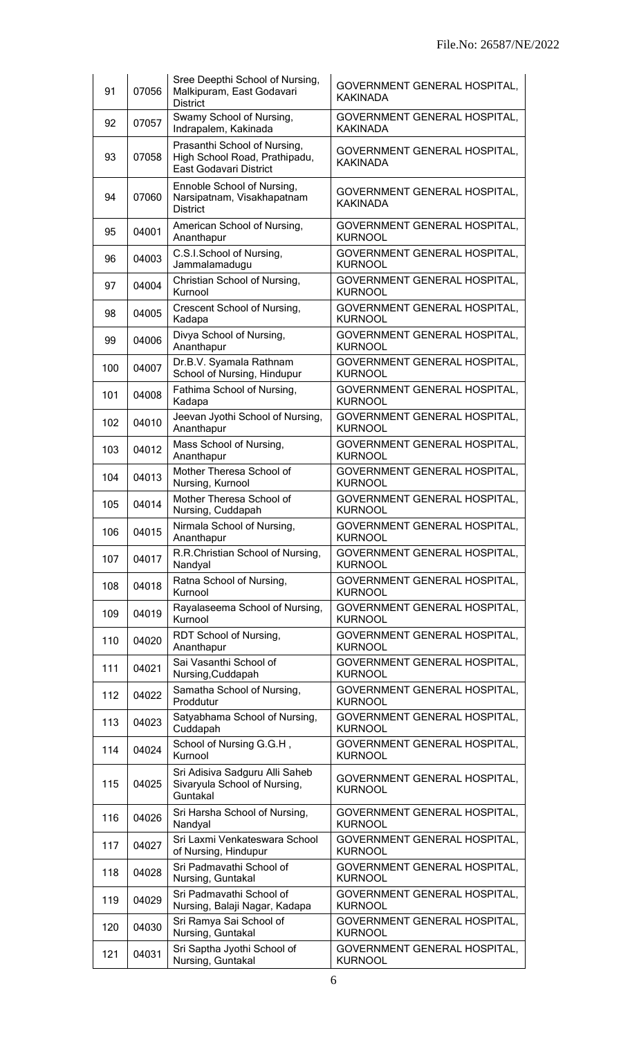| 91  | 07056 | Sree Deepthi School of Nursing,<br>Malkipuram, East Godavari<br><b>District</b>         | GOVERNMENT GENERAL HOSPITAL,<br><b>KAKINADA</b>       |
|-----|-------|-----------------------------------------------------------------------------------------|-------------------------------------------------------|
| 92  | 07057 | Swamy School of Nursing,<br>Indrapalem, Kakinada                                        | GOVERNMENT GENERAL HOSPITAL,<br><b>KAKINADA</b>       |
| 93  | 07058 | Prasanthi School of Nursing,<br>High School Road, Prathipadu,<br>East Godavari District | GOVERNMENT GENERAL HOSPITAL,<br><b>KAKINADA</b>       |
| 94  | 07060 | Ennoble School of Nursing,<br>Narsipatnam, Visakhapatnam<br><b>District</b>             | GOVERNMENT GENERAL HOSPITAL,<br><b>KAKINADA</b>       |
| 95  | 04001 | American School of Nursing,<br>Ananthapur                                               | GOVERNMENT GENERAL HOSPITAL,<br><b>KURNOOL</b>        |
| 96  | 04003 | C.S.I.School of Nursing,<br>Jammalamadugu                                               | GOVERNMENT GENERAL HOSPITAL,<br><b>KURNOOL</b>        |
| 97  | 04004 | Christian School of Nursing,<br>Kurnool                                                 | GOVERNMENT GENERAL HOSPITAL,<br><b>KURNOOL</b>        |
| 98  | 04005 | Crescent School of Nursing,<br>Kadapa                                                   | <b>GOVERNMENT GENERAL HOSPITAL,</b><br><b>KURNOOL</b> |
| 99  | 04006 | Divya School of Nursing,<br>Ananthapur                                                  | GOVERNMENT GENERAL HOSPITAL,<br><b>KURNOOL</b>        |
| 100 | 04007 | Dr.B.V. Syamala Rathnam<br>School of Nursing, Hindupur                                  | GOVERNMENT GENERAL HOSPITAL,<br><b>KURNOOL</b>        |
| 101 | 04008 | Fathima School of Nursing,<br>Kadapa                                                    | GOVERNMENT GENERAL HOSPITAL,<br><b>KURNOOL</b>        |
| 102 | 04010 | Jeevan Jyothi School of Nursing,<br>Ananthapur                                          | GOVERNMENT GENERAL HOSPITAL,<br><b>KURNOOL</b>        |
| 103 | 04012 | Mass School of Nursing,<br>Ananthapur                                                   | GOVERNMENT GENERAL HOSPITAL,<br><b>KURNOOL</b>        |
| 104 | 04013 | Mother Theresa School of<br>Nursing, Kurnool                                            | GOVERNMENT GENERAL HOSPITAL,<br><b>KURNOOL</b>        |
| 105 | 04014 | Mother Theresa School of<br>Nursing, Cuddapah                                           | GOVERNMENT GENERAL HOSPITAL,<br><b>KURNOOL</b>        |
| 106 | 04015 | Nirmala School of Nursing,<br>Ananthapur                                                | GOVERNMENT GENERAL HOSPITAL,<br>KURNOOL               |
| 107 | 04017 | R.R.Christian School of Nursing,<br>Nandyal                                             | GOVERNMENT GENERAL HOSPITAL,<br><b>KURNOOL</b>        |
| 108 | 04018 | Ratna School of Nursing,<br>Kurnool                                                     | GOVERNMENT GENERAL HOSPITAL,<br><b>KURNOOL</b>        |
| 109 | 04019 | Rayalaseema School of Nursing,<br>Kurnool                                               | GOVERNMENT GENERAL HOSPITAL,<br><b>KURNOOL</b>        |
| 110 | 04020 | RDT School of Nursing,<br>Ananthapur                                                    | GOVERNMENT GENERAL HOSPITAL,<br><b>KURNOOL</b>        |
| 111 | 04021 | Sai Vasanthi School of<br>Nursing, Cuddapah                                             | GOVERNMENT GENERAL HOSPITAL,<br><b>KURNOOL</b>        |
| 112 | 04022 | Samatha School of Nursing,<br>Proddutur                                                 | GOVERNMENT GENERAL HOSPITAL,<br><b>KURNOOL</b>        |
| 113 | 04023 | Satyabhama School of Nursing,<br>Cuddapah                                               | GOVERNMENT GENERAL HOSPITAL,<br><b>KURNOOL</b>        |
| 114 | 04024 | School of Nursing G.G.H,<br>Kurnool                                                     | GOVERNMENT GENERAL HOSPITAL,<br><b>KURNOOL</b>        |
| 115 | 04025 | Sri Adisiva Sadguru Alli Saheb<br>Sivaryula School of Nursing,<br>Guntakal              | GOVERNMENT GENERAL HOSPITAL,<br><b>KURNOOL</b>        |
| 116 | 04026 | Sri Harsha School of Nursing,<br>Nandyal                                                | GOVERNMENT GENERAL HOSPITAL,<br><b>KURNOOL</b>        |
| 117 | 04027 | Sri Laxmi Venkateswara School<br>of Nursing, Hindupur                                   | GOVERNMENT GENERAL HOSPITAL,<br><b>KURNOOL</b>        |
| 118 | 04028 | Sri Padmavathi School of<br>Nursing, Guntakal                                           | GOVERNMENT GENERAL HOSPITAL,<br><b>KURNOOL</b>        |
| 119 | 04029 | Sri Padmavathi School of<br>Nursing, Balaji Nagar, Kadapa                               | GOVERNMENT GENERAL HOSPITAL,<br><b>KURNOOL</b>        |
| 120 | 04030 | Sri Ramya Sai School of<br>Nursing, Guntakal                                            | GOVERNMENT GENERAL HOSPITAL,<br><b>KURNOOL</b>        |
| 121 | 04031 | Sri Saptha Jyothi School of<br>Nursing, Guntakal                                        | <b>GOVERNMENT GENERAL HOSPITAL,</b><br><b>KURNOOL</b> |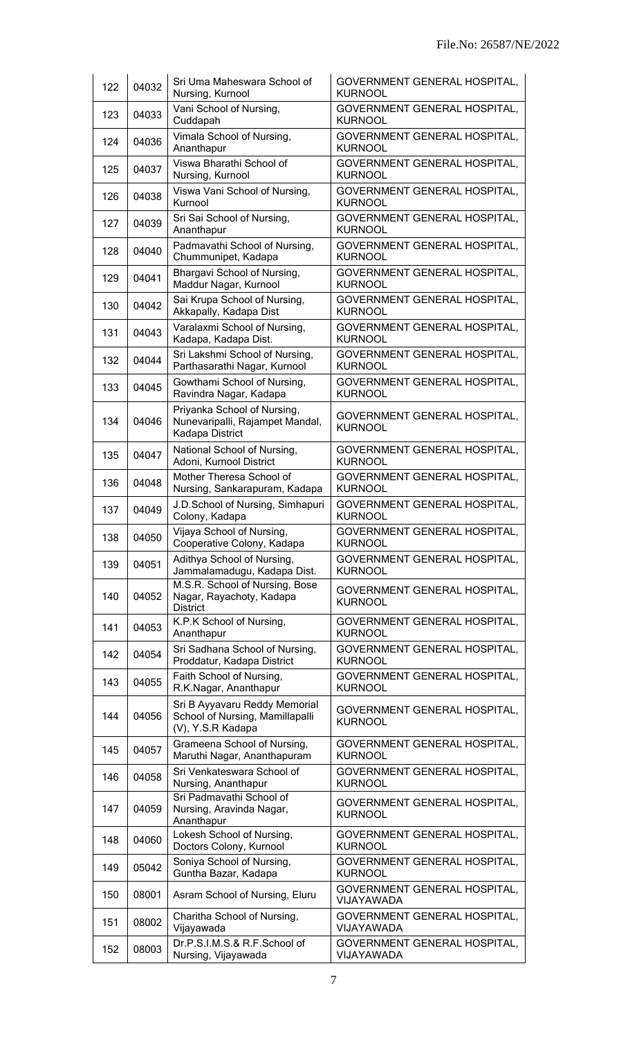| 122 | 04032 | Sri Uma Maheswara School of<br>Nursing, Kurnool                                       | GOVERNMENT GENERAL HOSPITAL,<br><b>KURNOOL</b>        |  |
|-----|-------|---------------------------------------------------------------------------------------|-------------------------------------------------------|--|
| 123 | 04033 | Vani School of Nursing,<br>Cuddapah                                                   | GOVERNMENT GENERAL HOSPITAL,<br><b>KURNOOL</b>        |  |
| 124 | 04036 | Vimala School of Nursing,<br>Ananthapur                                               | GOVERNMENT GENERAL HOSPITAL,<br><b>KURNOOL</b>        |  |
| 125 | 04037 | Viswa Bharathi School of<br>Nursing, Kurnool                                          | GOVERNMENT GENERAL HOSPITAL,<br><b>KURNOOL</b>        |  |
| 126 | 04038 | Viswa Vani School of Nursing,<br>Kurnool                                              | GOVERNMENT GENERAL HOSPITAL,<br><b>KURNOOL</b>        |  |
| 127 | 04039 | Sri Sai School of Nursing,<br>Ananthapur                                              | GOVERNMENT GENERAL HOSPITAL,<br><b>KURNOOL</b>        |  |
| 128 | 04040 | Padmavathi School of Nursing,<br>Chummunipet, Kadapa                                  | GOVERNMENT GENERAL HOSPITAL,<br><b>KURNOOL</b>        |  |
| 129 | 04041 | Bhargavi School of Nursing,<br>Maddur Nagar, Kurnool                                  | GOVERNMENT GENERAL HOSPITAL,<br><b>KURNOOL</b>        |  |
| 130 | 04042 | Sai Krupa School of Nursing,<br>Akkapally, Kadapa Dist                                | <b>GOVERNMENT GENERAL HOSPITAL,</b><br><b>KURNOOL</b> |  |
| 131 | 04043 | Varalaxmi School of Nursing,<br>Kadapa, Kadapa Dist.                                  | GOVERNMENT GENERAL HOSPITAL,<br><b>KURNOOL</b>        |  |
| 132 | 04044 | Sri Lakshmi School of Nursing,<br>Parthasarathi Nagar, Kurnool                        | GOVERNMENT GENERAL HOSPITAL,<br><b>KURNOOL</b>        |  |
| 133 | 04045 | Gowthami School of Nursing,<br>Ravindra Nagar, Kadapa                                 | GOVERNMENT GENERAL HOSPITAL,<br><b>KURNOOL</b>        |  |
| 134 | 04046 | Priyanka School of Nursing,<br>Nunevaripalli, Rajampet Mandal,<br>Kadapa District     | GOVERNMENT GENERAL HOSPITAL,<br><b>KURNOOL</b>        |  |
| 135 | 04047 | National School of Nursing,<br>Adoni, Kurnool District                                | GOVERNMENT GENERAL HOSPITAL,<br><b>KURNOOL</b>        |  |
| 136 | 04048 | Mother Theresa School of<br>Nursing, Sankarapuram, Kadapa                             | GOVERNMENT GENERAL HOSPITAL,<br><b>KURNOOL</b>        |  |
| 137 | 04049 | J.D.School of Nursing, Simhapuri<br>Colony, Kadapa                                    | <b>GOVERNMENT GENERAL HOSPITAL,</b><br><b>KURNOOL</b> |  |
| 138 | 04050 | Vijaya School of Nursing,<br>Cooperative Colony, Kadapa                               | GOVERNMENT GENERAL HOSPITAL<br><b>KURNOOL</b>         |  |
| 139 | 04051 | Adithya School of Nursing,<br>Jammalamadugu, Kadapa Dist.                             | GOVERNMENT GENERAL HOSPITAL,<br><b>KURNOOL</b>        |  |
| 140 | 04052 | M.S.R. School of Nursing, Bose<br>Nagar, Rayachoty, Kadapa<br><b>District</b>         | GOVERNMENT GENERAL HOSPITAL,<br><b>KURNOOL</b>        |  |
| 141 | 04053 | K.P.K School of Nursing,<br>Ananthapur                                                | GOVERNMENT GENERAL HOSPITAL,<br><b>KURNOOL</b>        |  |
| 142 | 04054 | Sri Sadhana School of Nursing,<br>Proddatur, Kadapa District                          | GOVERNMENT GENERAL HOSPITAL,<br><b>KURNOOL</b>        |  |
| 143 | 04055 | Faith School of Nursing,<br>R.K.Nagar, Ananthapur                                     | GOVERNMENT GENERAL HOSPITAL,<br><b>KURNOOL</b>        |  |
| 144 | 04056 | Sri B Ayyavaru Reddy Memorial<br>School of Nursing, Mamillapalli<br>(V), Y.S.R Kadapa | GOVERNMENT GENERAL HOSPITAL,<br><b>KURNOOL</b>        |  |
| 145 | 04057 | Grameena School of Nursing,<br>Maruthi Nagar, Ananthapuram                            | GOVERNMENT GENERAL HOSPITAL,<br><b>KURNOOL</b>        |  |
| 146 | 04058 | Sri Venkateswara School of<br>Nursing, Ananthapur                                     | GOVERNMENT GENERAL HOSPITAL,<br><b>KURNOOL</b>        |  |
| 147 | 04059 | Sri Padmavathi School of<br>Nursing, Aravinda Nagar,<br>Ananthapur                    | GOVERNMENT GENERAL HOSPITAL,<br><b>KURNOOL</b>        |  |
| 148 | 04060 | Lokesh School of Nursing,<br>Doctors Colony, Kurnool                                  | GOVERNMENT GENERAL HOSPITAL,<br><b>KURNOOL</b>        |  |
| 149 | 05042 | Soniya School of Nursing,<br>Guntha Bazar, Kadapa                                     | GOVERNMENT GENERAL HOSPITAL,<br><b>KURNOOL</b>        |  |
| 150 | 08001 | Asram School of Nursing, Eluru                                                        | GOVERNMENT GENERAL HOSPITAL,<br>VIJAYAWADA            |  |
| 151 | 08002 | Charitha School of Nursing,<br>Vijayawada                                             | GOVERNMENT GENERAL HOSPITAL,<br>VIJAYAWADA            |  |
| 152 | 08003 | Dr.P.S.I.M.S.& R.F.School of<br>Nursing, Vijayawada                                   | GOVERNMENT GENERAL HOSPITAL,<br>VIJAYAWADA            |  |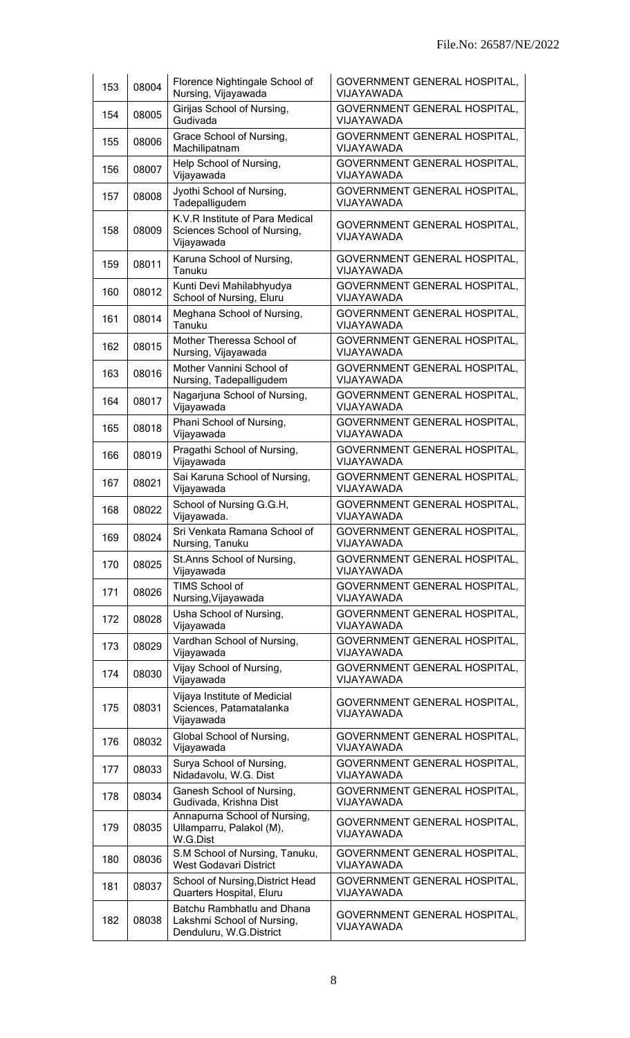| 153 | 08004 | Florence Nightingale School of<br>Nursing, Vijayawada                               | GOVERNMENT GENERAL HOSPITAL,<br>VIJAYAWADA        |
|-----|-------|-------------------------------------------------------------------------------------|---------------------------------------------------|
| 154 | 08005 | Girijas School of Nursing,<br>Gudivada                                              | GOVERNMENT GENERAL HOSPITAL,<br>VIJAYAWADA        |
| 155 | 08006 | Grace School of Nursing,<br>Machilipatnam                                           | GOVERNMENT GENERAL HOSPITAL,<br>VIJAYAWADA        |
| 156 | 08007 | Help School of Nursing,<br>Vijayawada                                               | GOVERNMENT GENERAL HOSPITAL,<br>VIJAYAWADA        |
| 157 | 08008 | Jyothi School of Nursing,<br>Tadepalligudem                                         | GOVERNMENT GENERAL HOSPITAL,<br>VIJAYAWADA        |
| 158 | 08009 | K.V.R Institute of Para Medical<br>Sciences School of Nursing,<br>Vijayawada        | GOVERNMENT GENERAL HOSPITAL,<br>VIJAYAWADA        |
| 159 | 08011 | Karuna School of Nursing,<br>Tanuku                                                 | GOVERNMENT GENERAL HOSPITAL,<br>VIJAYAWADA        |
| 160 | 08012 | Kunti Devi Mahilabhyudya<br>School of Nursing, Eluru                                | GOVERNMENT GENERAL HOSPITAL,<br>VIJAYAWADA        |
| 161 | 08014 | Meghana School of Nursing,<br>Tanuku                                                | GOVERNMENT GENERAL HOSPITAL,<br>VIJAYAWADA        |
| 162 | 08015 | Mother Theressa School of<br>Nursing, Vijayawada                                    | GOVERNMENT GENERAL HOSPITAL,<br>VIJAYAWADA        |
| 163 | 08016 | Mother Vannini School of<br>Nursing, Tadepalligudem                                 | GOVERNMENT GENERAL HOSPITAL,<br>VIJAYAWADA        |
| 164 | 08017 | Nagarjuna School of Nursing,<br>Vijayawada                                          | GOVERNMENT GENERAL HOSPITAL,<br>VIJAYAWADA        |
| 165 | 08018 | Phani School of Nursing,<br>Vijayawada                                              | GOVERNMENT GENERAL HOSPITAL,<br>VIJAYAWADA        |
| 166 | 08019 | Pragathi School of Nursing,<br>Vijayawada                                           | GOVERNMENT GENERAL HOSPITAL,<br>VIJAYAWADA        |
| 167 | 08021 | Sai Karuna School of Nursing,<br>Vijayawada                                         | GOVERNMENT GENERAL HOSPITAL,<br><b>VIJAYAWADA</b> |
| 168 | 08022 | School of Nursing G.G.H,<br>Vijayawada.                                             | GOVERNMENT GENERAL HOSPITAL,<br>VIJAYAWADA        |
| 169 | 08024 | Sri Venkata Ramana School of<br>Nursing, Tanuku                                     | <b>GOVERNMENT GENERAL HOSPITAL</b><br>VIJAYAWADA  |
| 170 | 08025 | St.Anns School of Nursing,<br>Vijayawada                                            | GOVERNMENT GENERAL HOSPITAL,<br>VIJAYAWADA        |
| 171 | 08026 | TIMS School of<br>Nursing, Vijayawada                                               | GOVERNMENT GENERAL HOSPITAL,<br>VIJAYAWADA        |
| 172 | 08028 | Usha School of Nursing,<br>Vijayawada                                               | GOVERNMENT GENERAL HOSPITAL,<br>VIJAYAWADA        |
| 173 | 08029 | Vardhan School of Nursing,<br>Vijayawada                                            | GOVERNMENT GENERAL HOSPITAL,<br>VIJAYAWADA        |
| 174 | 08030 | Vijay School of Nursing,<br>Vijayawada                                              | GOVERNMENT GENERAL HOSPITAL,<br>VIJAYAWADA        |
| 175 | 08031 | Vijaya Institute of Medicial<br>Sciences, Patamatalanka<br>Vijayawada               | GOVERNMENT GENERAL HOSPITAL,<br>VIJAYAWADA        |
| 176 | 08032 | Global School of Nursing,<br>Vijayawada                                             | GOVERNMENT GENERAL HOSPITAL,<br>VIJAYAWADA        |
| 177 | 08033 | Surya School of Nursing,<br>Nidadavolu, W.G. Dist                                   | GOVERNMENT GENERAL HOSPITAL,<br>VIJAYAWADA        |
| 178 | 08034 | Ganesh School of Nursing,<br>Gudivada, Krishna Dist                                 | GOVERNMENT GENERAL HOSPITAL,<br>VIJAYAWADA        |
| 179 | 08035 | Annapurna School of Nursing,<br>Ullamparru, Palakol (M),<br>W.G.Dist                | GOVERNMENT GENERAL HOSPITAL,<br>VIJAYAWADA        |
| 180 | 08036 | S.M School of Nursing, Tanuku,<br><b>West Godavari District</b>                     | GOVERNMENT GENERAL HOSPITAL,<br>VIJAYAWADA        |
| 181 | 08037 | School of Nursing, District Head<br>Quarters Hospital, Eluru                        | GOVERNMENT GENERAL HOSPITAL,<br>VIJAYAWADA        |
| 182 | 08038 | Batchu Rambhatlu and Dhana<br>Lakshmi School of Nursing,<br>Denduluru, W.G.District | GOVERNMENT GENERAL HOSPITAL,<br>VIJAYAWADA        |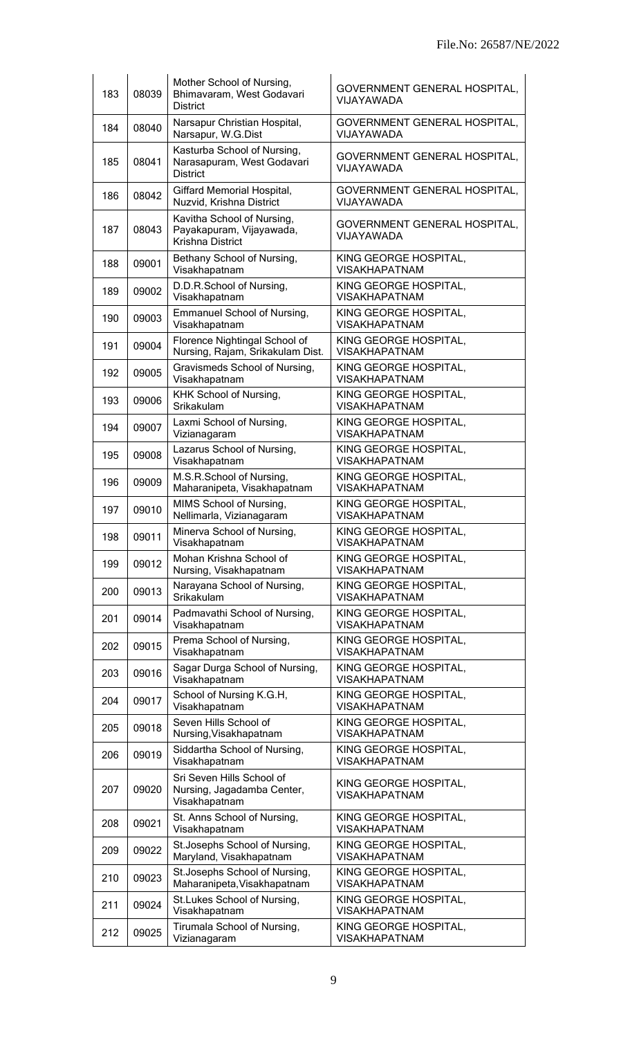| 183 | 08039 | Mother School of Nursing,<br>Bhimavaram, West Godavari<br><b>District</b>    | GOVERNMENT GENERAL HOSPITAL,<br>VIJAYAWADA    |
|-----|-------|------------------------------------------------------------------------------|-----------------------------------------------|
| 184 | 08040 | Narsapur Christian Hospital,<br>Narsapur, W.G.Dist                           | GOVERNMENT GENERAL HOSPITAL,<br>VIJAYAWADA    |
| 185 | 08041 | Kasturba School of Nursing,<br>Narasapuram, West Godavari<br><b>District</b> | GOVERNMENT GENERAL HOSPITAL,<br>VIJAYAWADA    |
| 186 | 08042 | Giffard Memorial Hospital,<br>Nuzvid, Krishna District                       | GOVERNMENT GENERAL HOSPITAL,<br>VIJAYAWADA    |
| 187 | 08043 | Kavitha School of Nursing,<br>Payakapuram, Vijayawada,<br>Krishna District   | GOVERNMENT GENERAL HOSPITAL,<br>VIJAYAWADA    |
| 188 | 09001 | Bethany School of Nursing,<br>Visakhapatnam                                  | KING GEORGE HOSPITAL,<br><b>VISAKHAPATNAM</b> |
| 189 | 09002 | D.D.R.School of Nursing,<br>Visakhapatnam                                    | KING GEORGE HOSPITAL,<br><b>VISAKHAPATNAM</b> |
| 190 | 09003 | <b>Emmanuel School of Nursing,</b><br>Visakhapatnam                          | KING GEORGE HOSPITAL,<br><b>VISAKHAPATNAM</b> |
| 191 | 09004 | Florence Nightingal School of<br>Nursing, Rajam, Srikakulam Dist.            | KING GEORGE HOSPITAL,<br><b>VISAKHAPATNAM</b> |
| 192 | 09005 | Gravismeds School of Nursing,<br>Visakhapatnam                               | KING GEORGE HOSPITAL,<br><b>VISAKHAPATNAM</b> |
| 193 | 09006 | KHK School of Nursing,<br>Srikakulam                                         | KING GEORGE HOSPITAL,<br><b>VISAKHAPATNAM</b> |
| 194 | 09007 | Laxmi School of Nursing,<br>Vizianagaram                                     | KING GEORGE HOSPITAL,<br><b>VISAKHAPATNAM</b> |
| 195 | 09008 | Lazarus School of Nursing,<br>Visakhapatnam                                  | KING GEORGE HOSPITAL,<br><b>VISAKHAPATNAM</b> |
| 196 | 09009 | M.S.R.School of Nursing,<br>Maharanipeta, Visakhapatnam                      | KING GEORGE HOSPITAL,<br><b>VISAKHAPATNAM</b> |
| 197 | 09010 | MIMS School of Nursing,<br>Nellimarla, Vizianagaram                          | KING GEORGE HOSPITAL,<br><b>VISAKHAPATNAM</b> |
| 198 | 09011 | Minerva School of Nursing,<br>Visakhapatnam                                  | KING GEORGE HOSPITAL,<br><b>VISAKHAPATNAM</b> |
| 199 | 09012 | Mohan Krishna School of<br>Nursing, Visakhapatnam                            | KING GEORGE HOSPITAL,<br><b>VISAKHAPATNAM</b> |
| 200 | 09013 | Narayana School of Nursing,<br>Srikakulam                                    | KING GEORGE HOSPITAL,<br><b>VISAKHAPATNAM</b> |
| 201 | 09014 | Padmavathi School of Nursing,<br>Visakhapatnam                               | KING GEORGE HOSPITAL,<br><b>VISAKHAPATNAM</b> |
| 202 | 09015 | Prema School of Nursing,<br>Visakhapatnam                                    | KING GEORGE HOSPITAL,<br><b>VISAKHAPATNAM</b> |
| 203 | 09016 | Sagar Durga School of Nursing,<br>Visakhapatnam                              | KING GEORGE HOSPITAL,<br><b>VISAKHAPATNAM</b> |
| 204 | 09017 | School of Nursing K.G.H,<br>Visakhapatnam                                    | KING GEORGE HOSPITAL,<br><b>VISAKHAPATNAM</b> |
| 205 | 09018 | Seven Hills School of<br>Nursing, Visakhapatnam                              | KING GEORGE HOSPITAL,<br><b>VISAKHAPATNAM</b> |
| 206 | 09019 | Siddartha School of Nursing,<br>Visakhapatnam                                | KING GEORGE HOSPITAL,<br><b>VISAKHAPATNAM</b> |
| 207 | 09020 | Sri Seven Hills School of<br>Nursing, Jagadamba Center,<br>Visakhapatnam     | KING GEORGE HOSPITAL,<br><b>VISAKHAPATNAM</b> |
| 208 | 09021 | St. Anns School of Nursing,<br>Visakhapatnam                                 | KING GEORGE HOSPITAL,<br><b>VISAKHAPATNAM</b> |
| 209 | 09022 | St. Josephs School of Nursing,<br>Maryland, Visakhapatnam                    | KING GEORGE HOSPITAL,<br><b>VISAKHAPATNAM</b> |
| 210 | 09023 | St. Josephs School of Nursing,<br>Maharanipeta, Visakhapatnam                | KING GEORGE HOSPITAL,<br><b>VISAKHAPATNAM</b> |
| 211 | 09024 | St.Lukes School of Nursing,<br>Visakhapatnam                                 | KING GEORGE HOSPITAL,<br><b>VISAKHAPATNAM</b> |
| 212 | 09025 | Tirumala School of Nursing,<br>Vizianagaram                                  | KING GEORGE HOSPITAL,<br><b>VISAKHAPATNAM</b> |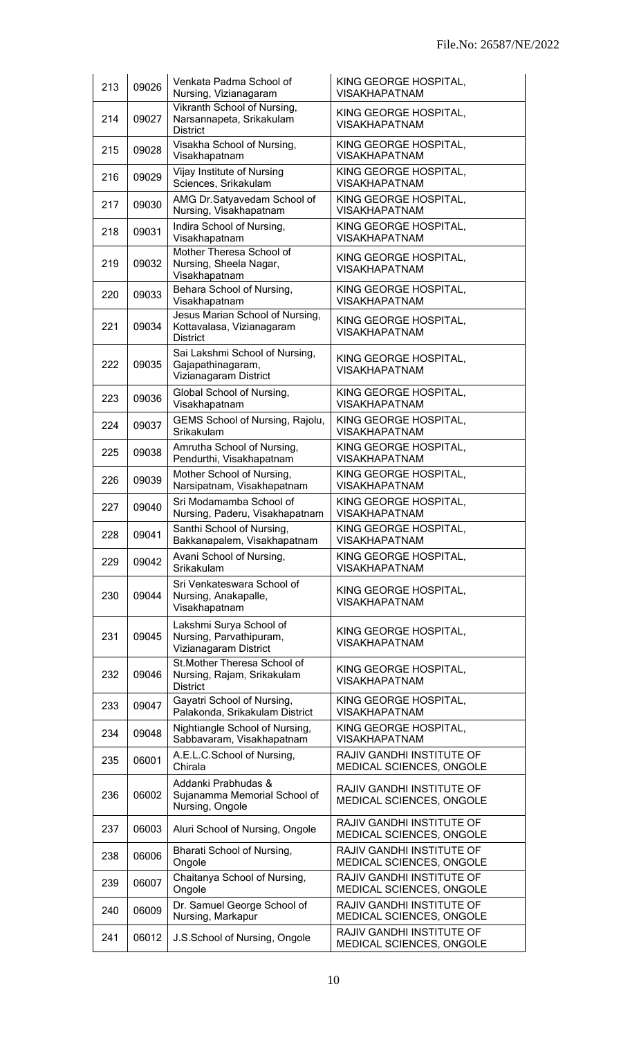| 213 | 09026 | Venkata Padma School of<br>Nursing, Vizianagaram                                | KING GEORGE HOSPITAL,<br><b>VISAKHAPATNAM</b>         |
|-----|-------|---------------------------------------------------------------------------------|-------------------------------------------------------|
| 214 | 09027 | Vikranth School of Nursing,<br>Narsannapeta, Srikakulam<br><b>District</b>      | KING GEORGE HOSPITAL,<br><b>VISAKHAPATNAM</b>         |
| 215 | 09028 | Visakha School of Nursing,<br>Visakhapatnam                                     | KING GEORGE HOSPITAL,<br><b>VISAKHAPATNAM</b>         |
| 216 | 09029 | Vijay Institute of Nursing<br>Sciences, Srikakulam                              | KING GEORGE HOSPITAL,<br><b>VISAKHAPATNAM</b>         |
| 217 | 09030 | AMG Dr.Satyavedam School of<br>Nursing, Visakhapatnam                           | KING GEORGE HOSPITAL,<br><b>VISAKHAPATNAM</b>         |
| 218 | 09031 | Indira School of Nursing,<br>Visakhapatnam                                      | KING GEORGE HOSPITAL,<br><b>VISAKHAPATNAM</b>         |
| 219 | 09032 | Mother Theresa School of<br>Nursing, Sheela Nagar,<br>Visakhapatnam             | KING GEORGE HOSPITAL,<br><b>VISAKHAPATNAM</b>         |
| 220 | 09033 | Behara School of Nursing,<br>Visakhapatnam                                      | KING GEORGE HOSPITAL,<br><b>VISAKHAPATNAM</b>         |
| 221 | 09034 | Jesus Marian School of Nursing,<br>Kottavalasa, Vizianagaram<br><b>District</b> | KING GEORGE HOSPITAL,<br><b>VISAKHAPATNAM</b>         |
| 222 | 09035 | Sai Lakshmi School of Nursing,<br>Gajapathinagaram,<br>Vizianagaram District    | KING GEORGE HOSPITAL,<br><b>VISAKHAPATNAM</b>         |
| 223 | 09036 | Global School of Nursing,<br>Visakhapatnam                                      | KING GEORGE HOSPITAL,<br><b>VISAKHAPATNAM</b>         |
| 224 | 09037 | GEMS School of Nursing, Rajolu,<br>Srikakulam                                   | KING GEORGE HOSPITAL,<br><b>VISAKHAPATNAM</b>         |
| 225 | 09038 | Amrutha School of Nursing,<br>Pendurthi, Visakhapatnam                          | KING GEORGE HOSPITAL,<br><b>VISAKHAPATNAM</b>         |
| 226 | 09039 | Mother School of Nursing,<br>Narsipatnam, Visakhapatnam                         | KING GEORGE HOSPITAL,<br><b>VISAKHAPATNAM</b>         |
| 227 | 09040 | Sri Modamamba School of<br>Nursing, Paderu, Visakhapatnam                       | KING GEORGE HOSPITAL,<br><b>VISAKHAPATNAM</b>         |
| 228 | 09041 | Santhi School of Nursing,<br>Bakkanapalem, Visakhapatnam                        | KING GEORGE HOSPITAL<br><b>VISAKHAPATNAM</b>          |
| 229 | 09042 | Avani School of Nursing,<br>Srikakulam                                          | KING GEORGE HOSPITAL,<br><b>VISAKHAPATNAM</b>         |
| 230 | 09044 | Sri Venkateswara School of<br>Nursing, Anakapalle,<br>Visakhapatnam             | KING GEORGE HOSPITAL,<br><b>VISAKHAPATNAM</b>         |
| 231 | 09045 | Lakshmi Surya School of<br>Nursing, Parvathipuram,<br>Vizianagaram District     | KING GEORGE HOSPITAL,<br><b>VISAKHAPATNAM</b>         |
| 232 | 09046 | St. Mother Theresa School of<br>Nursing, Rajam, Srikakulam<br><b>District</b>   | KING GEORGE HOSPITAL,<br><b>VISAKHAPATNAM</b>         |
| 233 | 09047 | Gayatri School of Nursing,<br>Palakonda, Srikakulam District                    | KING GEORGE HOSPITAL,<br><b>VISAKHAPATNAM</b>         |
| 234 | 09048 | Nightiangle School of Nursing,<br>Sabbavaram, Visakhapatnam                     | KING GEORGE HOSPITAL,<br><b>VISAKHAPATNAM</b>         |
| 235 | 06001 | A.E.L.C.School of Nursing,<br>Chirala                                           | RAJIV GANDHI INSTITUTE OF<br>MEDICAL SCIENCES, ONGOLE |
| 236 | 06002 | Addanki Prabhudas &<br>Sujanamma Memorial School of<br>Nursing, Ongole          | RAJIV GANDHI INSTITUTE OF<br>MEDICAL SCIENCES, ONGOLE |
| 237 | 06003 | Aluri School of Nursing, Ongole                                                 | RAJIV GANDHI INSTITUTE OF<br>MEDICAL SCIENCES, ONGOLE |
| 238 | 06006 | Bharati School of Nursing,<br>Ongole                                            | RAJIV GANDHI INSTITUTE OF<br>MEDICAL SCIENCES, ONGOLE |
| 239 | 06007 | Chaitanya School of Nursing,<br>Ongole                                          | RAJIV GANDHI INSTITUTE OF<br>MEDICAL SCIENCES, ONGOLE |
| 240 | 06009 | Dr. Samuel George School of<br>Nursing, Markapur                                | RAJIV GANDHI INSTITUTE OF<br>MEDICAL SCIENCES, ONGOLE |
| 241 | 06012 | J.S.School of Nursing, Ongole                                                   | RAJIV GANDHI INSTITUTE OF<br>MEDICAL SCIENCES, ONGOLE |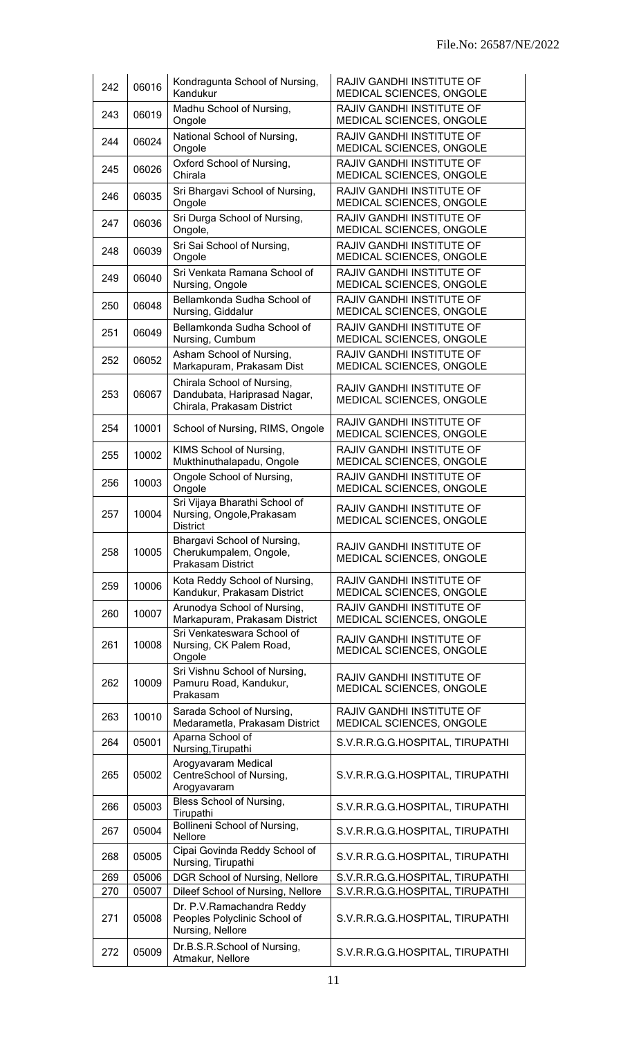| 242 | 06016 | Kondragunta School of Nursing,<br>Kandukur                                               | RAJIV GANDHI INSTITUTE OF<br>MEDICAL SCIENCES, ONGOLE        |  |
|-----|-------|------------------------------------------------------------------------------------------|--------------------------------------------------------------|--|
| 243 | 06019 | Madhu School of Nursing,<br>Ongole                                                       | RAJIV GANDHI INSTITUTE OF<br>MEDICAL SCIENCES, ONGOLE        |  |
| 244 | 06024 | National School of Nursing,<br>Ongole                                                    | RAJIV GANDHI INSTITUTE OF<br>MEDICAL SCIENCES, ONGOLE        |  |
| 245 | 06026 | Oxford School of Nursing,<br>Chirala                                                     | RAJIV GANDHI INSTITUTE OF<br>MEDICAL SCIENCES, ONGOLE        |  |
| 246 | 06035 | Sri Bhargavi School of Nursing,<br>Ongole                                                | RAJIV GANDHI INSTITUTE OF<br>MEDICAL SCIENCES, ONGOLE        |  |
| 247 | 06036 | Sri Durga School of Nursing,<br>Ongole,                                                  | RAJIV GANDHI INSTITUTE OF<br>MEDICAL SCIENCES, ONGOLE        |  |
| 248 | 06039 | Sri Sai School of Nursing,<br>Ongole                                                     | RAJIV GANDHI INSTITUTE OF<br>MEDICAL SCIENCES, ONGOLE        |  |
| 249 | 06040 | Sri Venkata Ramana School of<br>Nursing, Ongole                                          | RAJIV GANDHI INSTITUTE OF<br>MEDICAL SCIENCES, ONGOLE        |  |
| 250 | 06048 | Bellamkonda Sudha School of<br>Nursing, Giddalur                                         | <b>RAJIV GANDHI INSTITUTE OF</b><br>MEDICAL SCIENCES, ONGOLE |  |
| 251 | 06049 | Bellamkonda Sudha School of<br>Nursing, Cumbum                                           | RAJIV GANDHI INSTITUTE OF<br>MEDICAL SCIENCES, ONGOLE        |  |
| 252 | 06052 | Asham School of Nursing,<br>Markapuram, Prakasam Dist                                    | RAJIV GANDHI INSTITUTE OF<br>MEDICAL SCIENCES, ONGOLE        |  |
| 253 | 06067 | Chirala School of Nursing,<br>Dandubata, Hariprasad Nagar,<br>Chirala, Prakasam District | RAJIV GANDHI INSTITUTE OF<br>MEDICAL SCIENCES, ONGOLE        |  |
| 254 | 10001 | School of Nursing, RIMS, Ongole                                                          | RAJIV GANDHI INSTITUTE OF<br>MEDICAL SCIENCES, ONGOLE        |  |
| 255 | 10002 | KIMS School of Nursing,<br>Mukthinuthalapadu, Ongole                                     | RAJIV GANDHI INSTITUTE OF<br>MEDICAL SCIENCES, ONGOLE        |  |
| 256 | 10003 | Ongole School of Nursing,<br>Ongole                                                      | RAJIV GANDHI INSTITUTE OF<br>MEDICAL SCIENCES, ONGOLE        |  |
| 257 | 10004 | Sri Vijaya Bharathi School of<br>Nursing, Ongole, Prakasam<br><b>District</b>            | RAJIV GANDHI INSTITUTE OF<br>MEDICAL SCIENCES, ONGOLE        |  |
| 258 | 10005 | Bhargavi School of Nursing,<br>Cherukumpalem, Ongole,<br><b>Prakasam District</b>        | RAJIV GANDHI INSTITUTE OF<br>MEDICAL SCIENCES, ONGOLE        |  |
| 259 | 10006 | Kota Reddy School of Nursing,<br>Kandukur, Prakasam District                             | RAJIV GANDHI INSTITUTE OF<br>MEDICAL SCIENCES, ONGOLE        |  |
| 260 | 10007 | Arunodya School of Nursing,<br>Markapuram, Prakasam District                             | RAJIV GANDHI INSTITUTE OF<br>MEDICAL SCIENCES, ONGOLE        |  |
| 261 | 10008 | Sri Venkateswara School of<br>Nursing, CK Palem Road,<br>Ongole                          | RAJIV GANDHI INSTITUTE OF<br>MEDICAL SCIENCES, ONGOLE        |  |
| 262 | 10009 | Sri Vishnu School of Nursing,<br>Pamuru Road, Kandukur,<br>Prakasam                      | RAJIV GANDHI INSTITUTE OF<br>MEDICAL SCIENCES, ONGOLE        |  |
| 263 | 10010 | Sarada School of Nursing,<br>Medarametla, Prakasam District                              | RAJIV GANDHI INSTITUTE OF<br>MEDICAL SCIENCES, ONGOLE        |  |
| 264 | 05001 | Aparna School of<br>Nursing, Tirupathi                                                   | S.V.R.R.G.G.HOSPITAL, TIRUPATHI                              |  |
| 265 | 05002 | Arogyavaram Medical<br>CentreSchool of Nursing,<br>Arogyavaram                           | S.V.R.R.G.G.HOSPITAL, TIRUPATHI                              |  |
| 266 | 05003 | Bless School of Nursing,<br>Tirupathi                                                    | S.V.R.R.G.G.HOSPITAL, TIRUPATHI                              |  |
| 267 | 05004 | <b>Bollineni School of Nursing,</b><br>Nellore                                           | S.V.R.R.G.G.HOSPITAL, TIRUPATHI                              |  |
| 268 | 05005 | Cipai Govinda Reddy School of<br>Nursing, Tirupathi                                      | S.V.R.R.G.G.HOSPITAL, TIRUPATHI                              |  |
| 269 | 05006 | DGR School of Nursing, Nellore                                                           | S.V.R.R.G.G.HOSPITAL, TIRUPATHI                              |  |
| 270 | 05007 | Dileef School of Nursing, Nellore                                                        | S.V.R.R.G.G.HOSPITAL, TIRUPATHI                              |  |
| 271 | 05008 | Dr. P.V.Ramachandra Reddy<br>Peoples Polyclinic School of<br>Nursing, Nellore            | S.V.R.R.G.G.HOSPITAL, TIRUPATHI                              |  |
| 272 | 05009 | Dr.B.S.R.School of Nursing,<br>Atmakur, Nellore                                          | S.V.R.R.G.G.HOSPITAL, TIRUPATHI                              |  |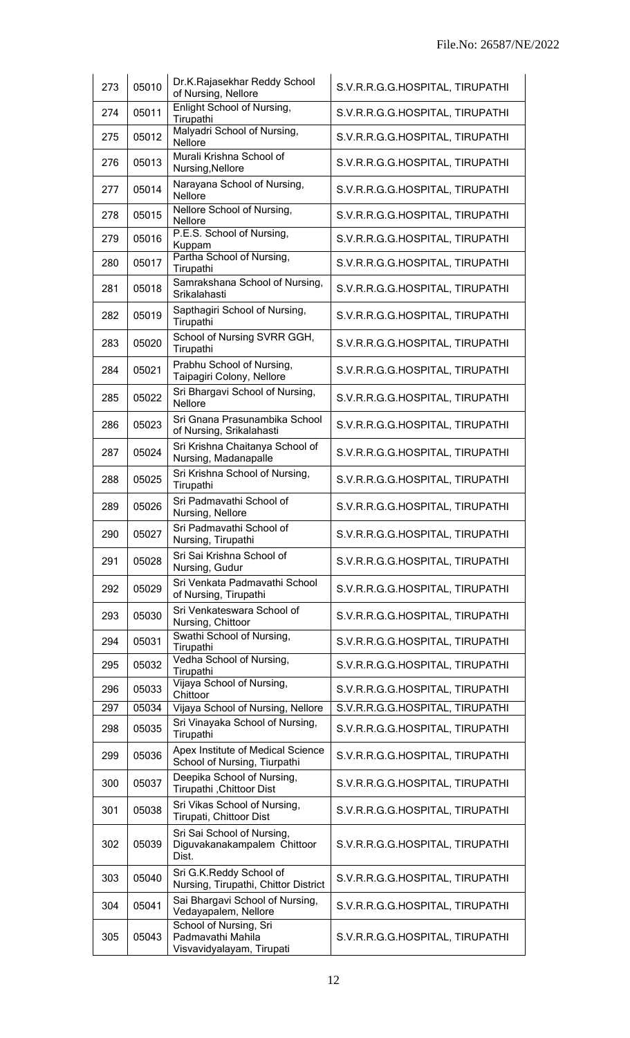| 273 | 05010 | Dr.K.Rajasekhar Reddy School<br>of Nursing, Nellore                      | S.V.R.R.G.G.HOSPITAL, TIRUPATHI |  |
|-----|-------|--------------------------------------------------------------------------|---------------------------------|--|
| 274 | 05011 | <b>Enlight School of Nursing,</b><br>Tirupathi                           | S.V.R.R.G.G.HOSPITAL, TIRUPATHI |  |
| 275 | 05012 | Malyadri School of Nursing,<br>Nellore                                   | S.V.R.R.G.G.HOSPITAL, TIRUPATHI |  |
| 276 | 05013 | Murali Krishna School of<br>Nursing, Nellore                             | S.V.R.R.G.G.HOSPITAL, TIRUPATHI |  |
| 277 | 05014 | Narayana School of Nursing,<br><b>Nellore</b>                            | S.V.R.R.G.G.HOSPITAL, TIRUPATHI |  |
| 278 | 05015 | Nellore School of Nursing,<br><b>Nellore</b>                             | S.V.R.R.G.G.HOSPITAL, TIRUPATHI |  |
| 279 | 05016 | P.E.S. School of Nursing,<br>Kuppam                                      | S.V.R.R.G.G.HOSPITAL, TIRUPATHI |  |
| 280 | 05017 | Partha School of Nursing,<br>Tirupathi                                   | S.V.R.R.G.G.HOSPITAL, TIRUPATHI |  |
| 281 | 05018 | Samrakshana School of Nursing,<br>Srikalahasti                           | S.V.R.R.G.G.HOSPITAL, TIRUPATHI |  |
| 282 | 05019 | Sapthagiri School of Nursing,<br>Tirupathi                               | S.V.R.R.G.G.HOSPITAL, TIRUPATHI |  |
| 283 | 05020 | School of Nursing SVRR GGH,<br>Tirupathi                                 | S.V.R.R.G.G.HOSPITAL, TIRUPATHI |  |
| 284 | 05021 | Prabhu School of Nursing,<br>Taipagiri Colony, Nellore                   | S.V.R.R.G.G.HOSPITAL, TIRUPATHI |  |
| 285 | 05022 | Sri Bhargavi School of Nursing,<br>Nellore                               | S.V.R.R.G.G.HOSPITAL, TIRUPATHI |  |
| 286 | 05023 | Sri Gnana Prasunambika School<br>of Nursing, Srikalahasti                | S.V.R.R.G.G.HOSPITAL, TIRUPATHI |  |
| 287 | 05024 | Sri Krishna Chaitanya School of<br>Nursing, Madanapalle                  | S.V.R.R.G.G.HOSPITAL, TIRUPATHI |  |
| 288 | 05025 | Sri Krishna School of Nursing,<br>Tirupathi                              | S.V.R.R.G.G.HOSPITAL, TIRUPATHI |  |
| 289 | 05026 | Sri Padmavathi School of<br>Nursing, Nellore                             | S.V.R.R.G.G.HOSPITAL, TIRUPATHI |  |
| 290 | 05027 | Sri Padmavathi School of<br>Nursing, Tirupathi                           | S.V.R.R.G.G.HOSPITAL, TIRUPATHI |  |
| 291 | 05028 | Sri Sai Krishna School of<br>Nursing, Gudur                              | S.V.R.R.G.G.HOSPITAL, TIRUPATHI |  |
| 292 | 05029 | Sri Venkata Padmavathi School<br>of Nursing, Tirupathi                   | S.V.R.R.G.G.HOSPITAL, TIRUPATHI |  |
| 293 | 05030 | Sri Venkateswara School of<br>Nursing, Chittoor                          | S.V.R.R.G.G.HOSPITAL, TIRUPATHI |  |
| 294 | 05031 | Swathi School of Nursing,<br>Tirupathi                                   | S.V.R.R.G.G.HOSPITAL, TIRUPATHI |  |
| 295 | 05032 | Vedha School of Nursing,<br>Tirupathi                                    | S.V.R.R.G.G.HOSPITAL, TIRUPATHI |  |
| 296 | 05033 | Vijaya School of Nursing,<br>Chittoor                                    | S.V.R.R.G.G.HOSPITAL, TIRUPATHI |  |
| 297 | 05034 | Vijaya School of Nursing, Nellore                                        | S.V.R.R.G.G.HOSPITAL, TIRUPATHI |  |
| 298 | 05035 | Sri Vinayaka School of Nursing,<br>Tirupathi                             | S.V.R.R.G.G.HOSPITAL, TIRUPATHI |  |
| 299 | 05036 | Apex Institute of Medical Science<br>School of Nursing, Tiurpathi        | S.V.R.R.G.G.HOSPITAL, TIRUPATHI |  |
| 300 | 05037 | Deepika School of Nursing,<br>Tirupathi, Chittoor Dist                   | S.V.R.R.G.G.HOSPITAL, TIRUPATHI |  |
| 301 | 05038 | Sri Vikas School of Nursing,<br>Tirupati, Chittoor Dist                  | S.V.R.R.G.G.HOSPITAL, TIRUPATHI |  |
| 302 | 05039 | Sri Sai School of Nursing,<br>Diguvakanakampalem Chittoor<br>Dist.       | S.V.R.R.G.G.HOSPITAL, TIRUPATHI |  |
| 303 | 05040 | Sri G.K.Reddy School of<br>Nursing, Tirupathi, Chittor District          | S.V.R.R.G.G.HOSPITAL, TIRUPATHI |  |
| 304 | 05041 | Sai Bhargavi School of Nursing,<br>Vedayapalem, Nellore                  | S.V.R.R.G.G.HOSPITAL, TIRUPATHI |  |
| 305 | 05043 | School of Nursing, Sri<br>Padmavathi Mahila<br>Visvavidyalayam, Tirupati | S.V.R.R.G.G.HOSPITAL, TIRUPATHI |  |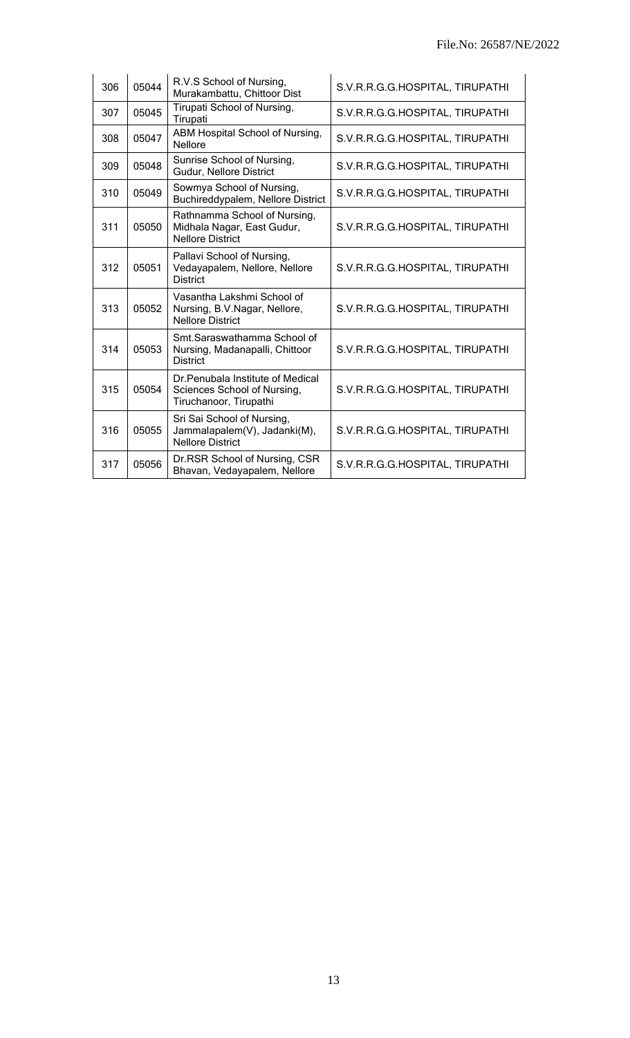| 306 | 05044 | R.V.S School of Nursing,<br>Murakambattu, Chittoor Dist                                    | S.V.R.R.G.G.HOSPITAL, TIRUPATHI |
|-----|-------|--------------------------------------------------------------------------------------------|---------------------------------|
| 307 | 05045 | Tirupati School of Nursing,<br>Tirupati                                                    | S.V.R.R.G.G.HOSPITAL, TIRUPATHI |
| 308 | 05047 | ABM Hospital School of Nursing,<br>Nellore                                                 | S.V.R.R.G.G.HOSPITAL, TIRUPATHI |
| 309 | 05048 | Sunrise School of Nursing,<br>Gudur, Nellore District                                      | S.V.R.R.G.G.HOSPITAL, TIRUPATHI |
| 310 | 05049 | Sowmya School of Nursing,<br>Buchireddypalem, Nellore District                             | S.V.R.R.G.G.HOSPITAL, TIRUPATHI |
| 311 | 05050 | Rathnamma School of Nursing,<br>Midhala Nagar, East Gudur,<br><b>Nellore District</b>      | S.V.R.R.G.G.HOSPITAL, TIRUPATHI |
| 312 | 05051 | Pallavi School of Nursing,<br>Vedayapalem, Nellore, Nellore<br><b>District</b>             | S.V.R.R.G.G.HOSPITAL, TIRUPATHI |
| 313 | 05052 | Vasantha Lakshmi School of<br>Nursing, B.V.Nagar, Nellore,<br><b>Nellore District</b>      | S.V.R.R.G.G.HOSPITAL, TIRUPATHI |
| 314 | 05053 | Smt. Saraswathamma School of<br>Nursing, Madanapalli, Chittoor<br><b>District</b>          | S.V.R.R.G.G.HOSPITAL, TIRUPATHI |
| 315 | 05054 | Dr. Penubala Institute of Medical<br>Sciences School of Nursing,<br>Tiruchanoor, Tirupathi | S.V.R.R.G.G.HOSPITAL, TIRUPATHI |
| 316 | 05055 | Sri Sai School of Nursing,<br>Jammalapalem(V), Jadanki(M),<br><b>Nellore District</b>      | S.V.R.R.G.G.HOSPITAL, TIRUPATHI |
| 317 | 05056 | Dr.RSR School of Nursing, CSR<br>Bhavan, Vedayapalem, Nellore                              | S.V.R.R.G.G.HOSPITAL, TIRUPATHI |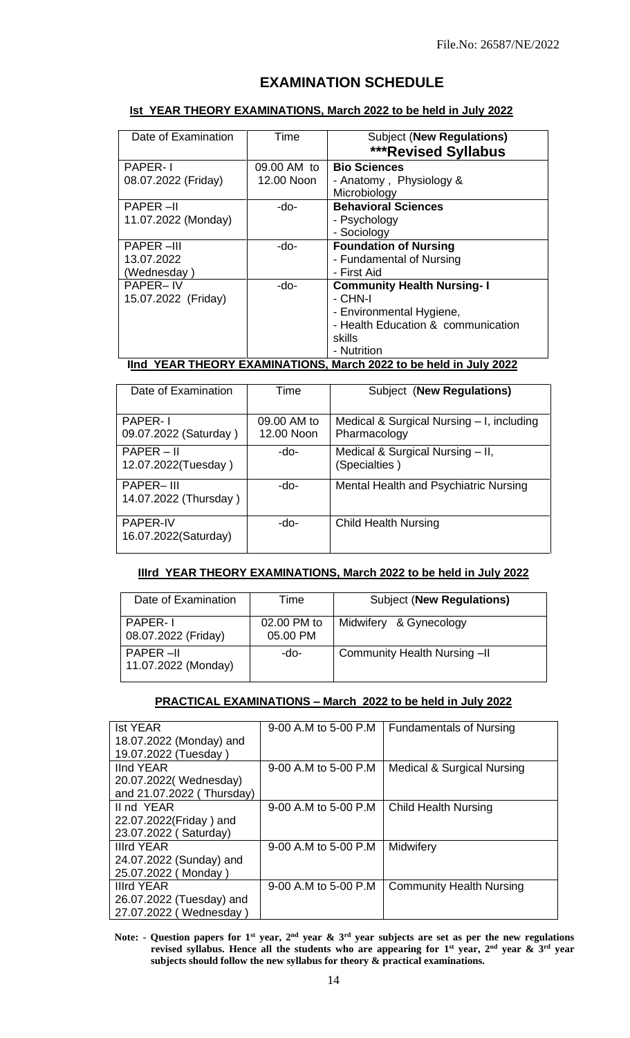# **EXAMINATION SCHEDULE**

#### **Ist YEAR THEORY EXAMINATIONS, March 2022 to be held in July 2022**

| Date of Examination                                                                     | Time        | <b>Subject (New Regulations)</b>   |  |  |
|-----------------------------------------------------------------------------------------|-------------|------------------------------------|--|--|
|                                                                                         |             |                                    |  |  |
|                                                                                         |             | <b>***Revised Syllabus</b>         |  |  |
| <b>PAPER-1</b>                                                                          | 09.00 AM to | <b>Bio Sciences</b>                |  |  |
| 08.07.2022 (Friday)                                                                     | 12.00 Noon  | - Anatomy, Physiology &            |  |  |
|                                                                                         |             | Microbiology                       |  |  |
| <b>PAPER-II</b>                                                                         | -do-        | <b>Behavioral Sciences</b>         |  |  |
| 11.07.2022 (Monday)                                                                     |             | - Psychology                       |  |  |
|                                                                                         |             | - Sociology                        |  |  |
| <b>PAPER-III</b>                                                                        | -do-        | <b>Foundation of Nursing</b>       |  |  |
| 13.07.2022                                                                              |             | - Fundamental of Nursing           |  |  |
| (Wednesday)                                                                             |             | - First Aid                        |  |  |
| <b>PAPER-IV</b>                                                                         | -do-        | <b>Community Health Nursing-1</b>  |  |  |
| 15.07.2022 (Friday)                                                                     |             | - CHN-I                            |  |  |
|                                                                                         |             | - Environmental Hygiene,           |  |  |
|                                                                                         |             | - Health Education & communication |  |  |
|                                                                                         |             | skills                             |  |  |
|                                                                                         |             | - Nutrition                        |  |  |
| $\sim$ - $\sim$ 0000 to be beld in this 0000<br>$\mathbf{L}$ . Vear theany evaminations |             |                                    |  |  |

## **IInd YEAR THEORY EXAMINATIONS, March 2022 to be held in July 2022**

| Date of Examination                       | Time                      | Subject (New Regulations)                                 |
|-------------------------------------------|---------------------------|-----------------------------------------------------------|
| <b>PAPER-1</b><br>09.07.2022 (Saturday)   | 09.00 AM to<br>12.00 Noon | Medical & Surgical Nursing - I, including<br>Pharmacology |
| $PAPER - II$<br>12.07.2022(Tuesday)       | -do-                      | Medical & Surgical Nursing - II,<br>(Specialties)         |
| <b>PAPER-III</b><br>14.07.2022 (Thursday) | -do-                      | Mental Health and Psychiatric Nursing                     |
| <b>PAPER-IV</b><br>16.07.2022(Saturday)   | -do-                      | <b>Child Health Nursing</b>                               |

### **IIIrd YEAR THEORY EXAMINATIONS, March 2022 to be held in July 2022**

| Date of Examination              | Time                    | <b>Subject (New Regulations)</b> |
|----------------------------------|-------------------------|----------------------------------|
| PAPER-1<br>08.07.2022 (Friday)   | 02.00 PM to<br>05.00 PM | Midwifery & Gynecology           |
| PAPER –II<br>11.07.2022 (Monday) | -do-                    | Community Health Nursing -II     |

### **PRACTICAL EXAMINATIONS – March 2022 to be held in July 2022**

| <b>Ist YEAR</b>           | 9-00 A.M to 5-00 P.M   | <b>Fundamentals of Nursing</b>        |
|---------------------------|------------------------|---------------------------------------|
| 18.07.2022 (Monday) and   |                        |                                       |
| 19.07.2022 (Tuesday)      |                        |                                       |
| lind YEAR                 | $9-00$ A.M to 5-00 P.M | <b>Medical &amp; Surgical Nursing</b> |
| 20.07.2022(Wednesday)     |                        |                                       |
| and 21.07.2022 (Thursday) |                        |                                       |
| II nd YEAR                | 9-00 A.M to 5-00 P.M   | <b>Child Health Nursing</b>           |
| 22.07.2022(Friday) and    |                        |                                       |
| 23.07.2022 (Saturday)     |                        |                                       |
| Illrd YEAR                | 9-00 A.M to 5-00 P.M   | Midwifery                             |
| 24.07.2022 (Sunday) and   |                        |                                       |
| 25.07.2022 (Monday)       |                        |                                       |
| <b>Illrd YEAR</b>         | 9-00 A.M to 5-00 P.M   | <b>Community Health Nursing</b>       |
| 26.07.2022 (Tuesday) and  |                        |                                       |
| 27.07.2022 (Wednesday)    |                        |                                       |

Note: - Question papers for  $1^{st}$  year,  $2^{nd}$  year  $\&$  3<sup>rd</sup> year subjects are set as per the new regulations **revised syllabus. Hence all the students who are appearing for 1 st year, 2 nd year & 3rd year subjects should follow the new syllabus for theory & practical examinations.**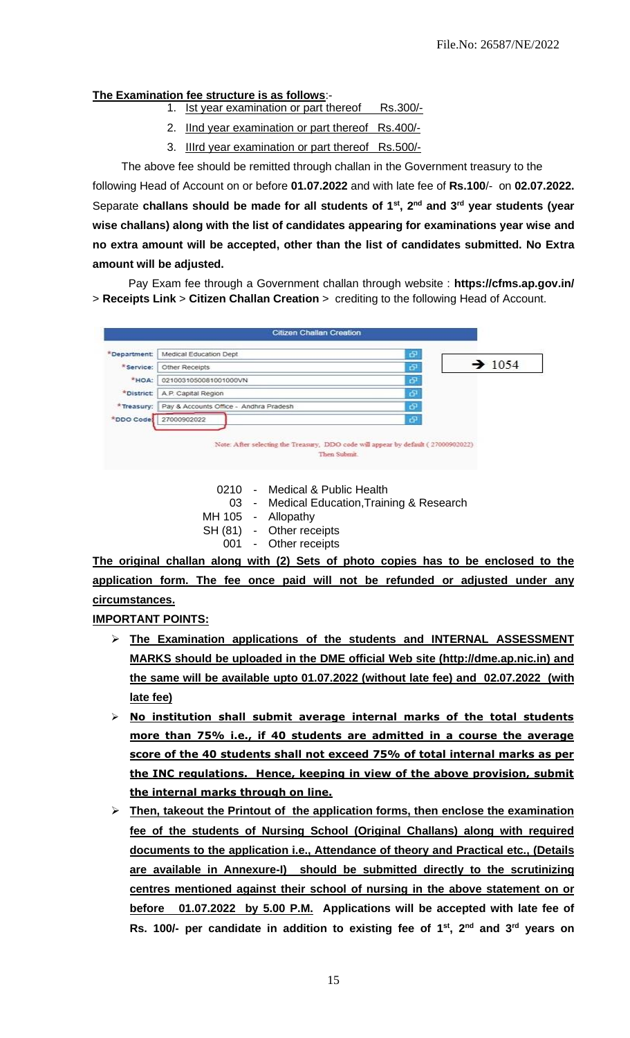#### **The Examination fee structure is as follows**:-

- 1. Ist year examination or part thereof Rs.300/-
- 2. IInd year examination or part thereof Rs.400/-
- 3. IIIrd year examination or part thereof Rs.500/-

The above fee should be remitted through challan in the Government treasury to the following Head of Account on or before **01.07.2022** and with late fee of **Rs.100**/- on **02.07.2022.** Separate **challans should be made for all students of 1st, 2nd and 3rd year students (year wise challans) along with the list of candidates appearing for examinations year wise and no extra amount will be accepted, other than the list of candidates submitted. No Extra amount will be adjusted.**

 Pay Exam fee through a Government challan through website : **<https://cfms.ap.gov.in/>** > **Receipts Link** > **Citizen Challan Creation** > crediting to the following Head of Account.



- 0210 Medical & Public Health
	- 03 Medical Education,Training & Research
- MH 105 Allopathy
- SH (81) Other receipts
	- 001 Other receipts

**The original challan along with (2) Sets of photo copies has to be enclosed to the application form. The fee once paid will not be refunded or adjusted under any circumstances.**

**IMPORTANT POINTS:**

- ➢ **The Examination applications of the students and INTERNAL ASSESSMENT MARKS should be uploaded in the DME official Web site (http://dme.ap.nic.in) and the same will be available upto 01.07.2022 (without late fee) and 02.07.2022 (with late fee)**
- ➢ **No institution shall submit average internal marks of the total students more than 75% i.e., if 40 students are admitted in a course the average score of the 40 students shall not exceed 75% of total internal marks as per the INC regulations. Hence, keeping in view of the above provision, submit the internal marks through on line.**
- ➢ **Then, takeout the Printout of the application forms, then enclose the examination fee of the students of Nursing School (Original Challans) along with required documents to the application i.e., Attendance of theory and Practical etc., (Details are available in Annexure-I) should be submitted directly to the scrutinizing centres mentioned against their school of nursing in the above statement on or before 01.07.2022 by 5.00 P.M. Applications will be accepted with late fee of Rs. 100/- per candidate in addition to existing fee of 1st , 2 nd and 3rd years on**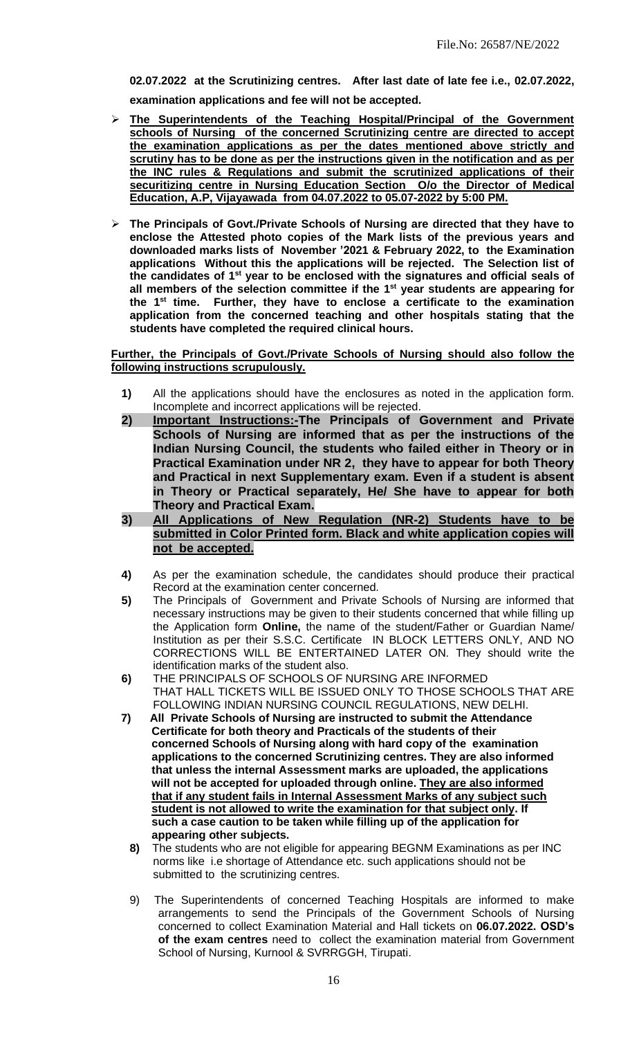**02.07.2022 at the Scrutinizing centres. After last date of late fee i.e., 02.07.2022, examination applications and fee will not be accepted.** 

- ➢ **The Superintendents of the Teaching Hospital/Principal of the Government schools of Nursing of the concerned Scrutinizing centre are directed to accept the examination applications as per the dates mentioned above strictly and scrutiny has to be done as per the instructions given in the notification and as per the INC rules & Regulations and submit the scrutinized applications of their securitizing centre in Nursing Education Section O/o the Director of Medical Education, A.P, Vijayawada from 04.07.2022 to 05.07-2022 by 5:00 PM.**
- ➢ **The Principals of Govt./Private Schools of Nursing are directed that they have to enclose the Attested photo copies of the Mark lists of the previous years and downloaded marks lists of November '2021 & February 2022, to the Examination applications Without this the applications will be rejected. The Selection list of the candidates of 1st year to be enclosed with the signatures and official seals of all members of the selection committee if the 1st year students are appearing for the 1st time. Further, they have to enclose a certificate to the examination application from the concerned teaching and other hospitals stating that the students have completed the required clinical hours.**

**Further, the Principals of Govt./Private Schools of Nursing should also follow the following instructions scrupulously.**

- **1)** All the applications should have the enclosures as noted in the application form. Incomplete and incorrect applications will be rejected.
- **2) Important Instructions:-The Principals of Government and Private Schools of Nursing are informed that as per the instructions of the Indian Nursing Council, the students who failed either in Theory or in Practical Examination under NR 2, they have to appear for both Theory and Practical in next Supplementary exam. Even if a student is absent in Theory or Practical separately, He/ She have to appear for both Theory and Practical Exam.**
- **3) All Applications of New Regulation (NR-2) Students have to be submitted in Color Printed form. Black and white application copies will not be accepted.**
- **4)** As per the examination schedule, the candidates should produce their practical Record at the examination center concerned.
- **5)** The Principals of Government and Private Schools of Nursing are informed that necessary instructions may be given to their students concerned that while filling up the Application form **Online,** the name of the student/Father or Guardian Name/ Institution as per their S.S.C. Certificate IN BLOCK LETTERS ONLY, AND NO CORRECTIONS WILL BE ENTERTAINED LATER ON. They should write the identification marks of the student also.
- **6)** THE PRINCIPALS OF SCHOOLS OF NURSING ARE INFORMED THAT HALL TICKETS WILL BE ISSUED ONLY TO THOSE SCHOOLS THAT ARE FOLLOWING INDIAN NURSING COUNCIL REGULATIONS, NEW DELHI.
- **7) All Private Schools of Nursing are instructed to submit the Attendance Certificate for both theory and Practicals of the students of their concerned Schools of Nursing along with hard copy of the examination applications to the concerned Scrutinizing centres. They are also informed that unless the internal Assessment marks are uploaded, the applications will not be accepted for uploaded through online. They are also informed that if any student fails in Internal Assessment Marks of any subject such student is not allowed to write the examination for that subject only. If such a case caution to be taken while filling up of the application for appearing other subjects.**
	- **8)** The students who are not eligible for appearing BEGNM Examinations as per INC norms like i.e shortage of Attendance etc. such applications should not be submitted to the scrutinizing centres.
	- 9) The Superintendents of concerned Teaching Hospitals are informed to make arrangements to send the Principals of the Government Schools of Nursing concerned to collect Examination Material and Hall tickets on **06.07.2022. OSD's of the exam centres** need to collect the examination material from Government School of Nursing, Kurnool & SVRRGGH, Tirupati.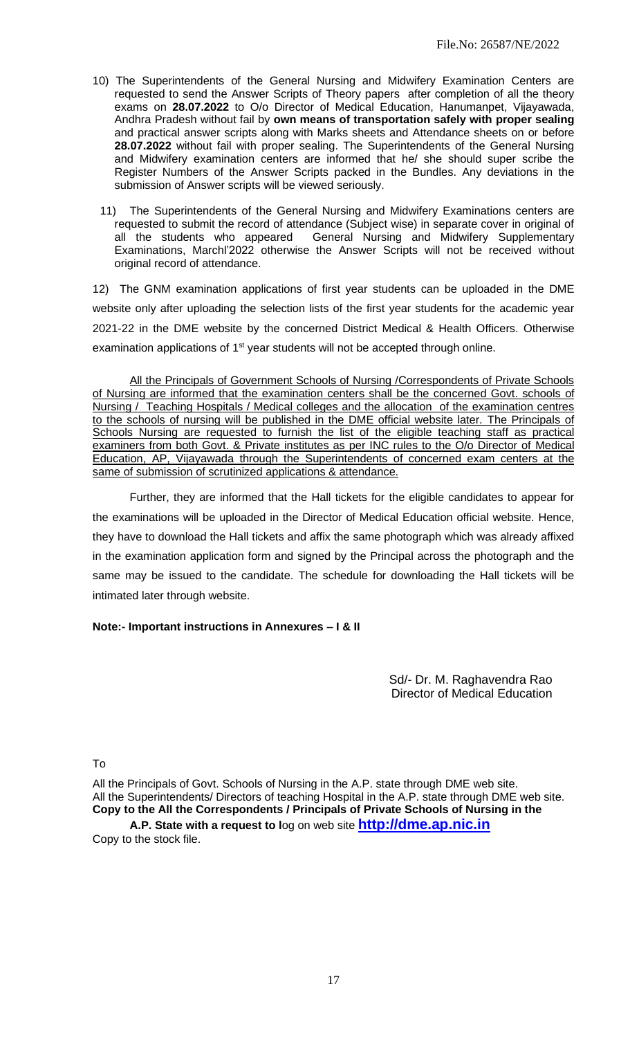- 10) The Superintendents of the General Nursing and Midwifery Examination Centers are requested to send the Answer Scripts of Theory papers after completion of all the theory exams on **28.07.2022** to O/o Director of Medical Education, Hanumanpet, Vijayawada, Andhra Pradesh without fail by **own means of transportation safely with proper sealing** and practical answer scripts along with Marks sheets and Attendance sheets on or before **28.07.2022** without fail with proper sealing. The Superintendents of the General Nursing and Midwifery examination centers are informed that he/ she should super scribe the Register Numbers of the Answer Scripts packed in the Bundles. Any deviations in the submission of Answer scripts will be viewed seriously.
- 11) The Superintendents of the General Nursing and Midwifery Examinations centers are requested to submit the record of attendance (Subject wise) in separate cover in original of all the students who appeared General Nursing and Midwifery Supplementary Examinations, Marchl'2022 otherwise the Answer Scripts will not be received without original record of attendance.

12) The GNM examination applications of first year students can be uploaded in the DME website only after uploading the selection lists of the first year students for the academic year 2021-22 in the DME website by the concerned District Medical & Health Officers. Otherwise examination applications of  $1<sup>st</sup>$  year students will not be accepted through online.

All the Principals of Government Schools of Nursing /Correspondents of Private Schools of Nursing are informed that the examination centers shall be the concerned Govt. schools of Nursing / Teaching Hospitals / Medical colleges and the allocation of the examination centres to the schools of nursing will be published in the DME official website later. The Principals of Schools Nursing are requested to furnish the list of the eligible teaching staff as practical examiners from both Govt. & Private institutes as per INC rules to the O/o Director of Medical Education, AP, Vijayawada through the Superintendents of concerned exam centers at the same of submission of scrutinized applications & attendance.

Further, they are informed that the Hall tickets for the eligible candidates to appear for the examinations will be uploaded in the Director of Medical Education official website. Hence, they have to download the Hall tickets and affix the same photograph which was already affixed in the examination application form and signed by the Principal across the photograph and the same may be issued to the candidate. The schedule for downloading the Hall tickets will be intimated later through website.

### **Note:- Important instructions in Annexures – I & II**

Sd/- Dr. M. Raghavendra Rao Director of Medical Education

To

All the Principals of Govt. Schools of Nursing in the A.P. state through DME web site. All the Superintendents/ Directors of teaching Hospital in the A.P. state through DME web site. **Copy to the All the Correspondents / Principals of Private Schools of Nursing in the A.P. State with a request to l**og on web site **[http://dme.ap.nic.in](http://dme.ap.nic.in/)**

Copy to the stock file.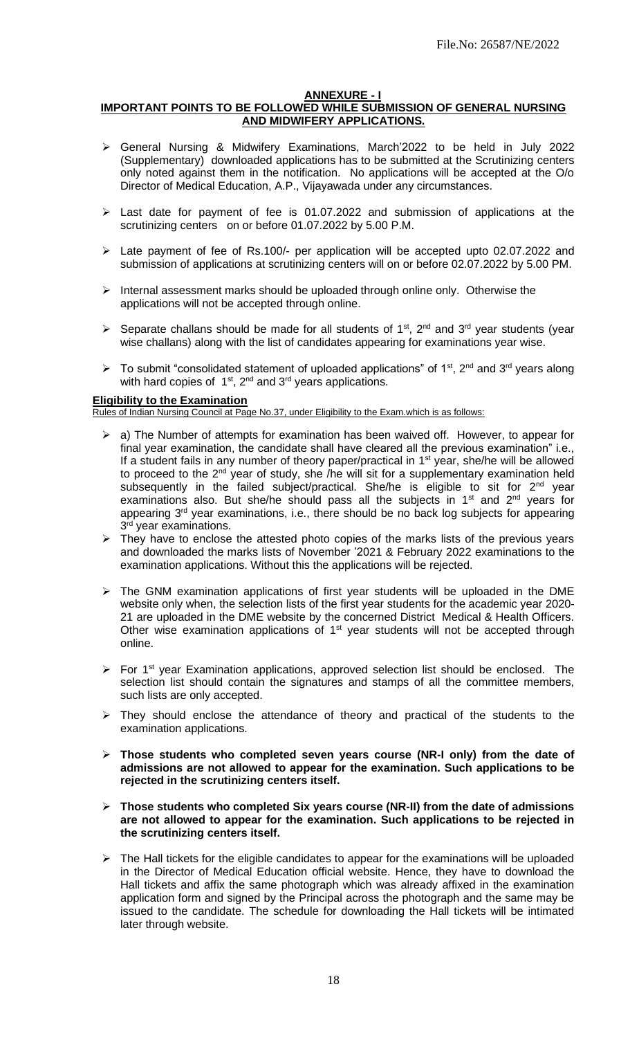#### **ANNEXURE - I**

### **IMPORTANT POINTS TO BE FOLLOWED WHILE SUBMISSION OF GENERAL NURSING AND MIDWIFERY APPLICATIONS.**

- ➢ General Nursing & Midwifery Examinations, March'2022 to be held in July 2022 (Supplementary) downloaded applications has to be submitted at the Scrutinizing centers only noted against them in the notification. No applications will be accepted at the O/o Director of Medical Education, A.P., Vijayawada under any circumstances.
- ➢ Last date for payment of fee is 01.07.2022 and submission of applications at the scrutinizing centers on or before 01.07.2022 by 5.00 P.M.
- ➢ Late payment of fee of Rs.100/- per application will be accepted upto 02.07.2022 and submission of applications at scrutinizing centers will on or before 02.07.2022 by 5.00 PM.
- ➢ Internal assessment marks should be uploaded through online only. Otherwise the applications will not be accepted through online.
- $\triangleright$  Separate challans should be made for all students of 1<sup>st</sup>, 2<sup>nd</sup> and 3<sup>rd</sup> year students (year wise challans) along with the list of candidates appearing for examinations year wise.
- $\triangleright$  To submit "consolidated statement of uploaded applications" of 1<sup>st</sup>, 2<sup>nd</sup> and 3<sup>rd</sup> years along with hard copies of  $1^{st}$ ,  $2^{nd}$  and  $3^{rd}$  years applications.

#### **Eligibility to the Examination**

Rules of Indian Nursing Council at Page No.37, under Eligibility to the Exam.which is as follows:

- ➢ a) The Number of attempts for examination has been waived off. However, to appear for final year examination, the candidate shall have cleared all the previous examination" i.e., If a student fails in any number of theory paper/practical in 1<sup>st</sup> year, she/he will be allowed to proceed to the  $2^{nd}$  year of study, she /he will sit for a supplementary examination held subsequently in the failed subject/practical. She/he is eligible to sit for 2<sup>nd</sup> year examinations also. But she/he should pass all the subjects in 1<sup>st</sup> and 2<sup>nd</sup> years for appearing 3<sup>rd</sup> year examinations, i.e., there should be no back log subjects for appearing 3<sup>rd</sup> year examinations.
- ➢ They have to enclose the attested photo copies of the marks lists of the previous years and downloaded the marks lists of November '2021 & February 2022 examinations to the examination applications. Without this the applications will be rejected.
- $\triangleright$  The GNM examination applications of first year students will be uploaded in the DME website only when, the selection lists of the first year students for the academic year 2020- 21 are uploaded in the DME website by the concerned District Medical & Health Officers. Other wise examination applications of  $1<sup>st</sup>$  year students will not be accepted through online.
- $\triangleright$  For 1<sup>st</sup> year Examination applications, approved selection list should be enclosed. The selection list should contain the signatures and stamps of all the committee members, such lists are only accepted.
- ➢ They should enclose the attendance of theory and practical of the students to the examination applications.
- ➢ **Those students who completed seven years course (NR-I only) from the date of admissions are not allowed to appear for the examination. Such applications to be rejected in the scrutinizing centers itself.**
- ➢ **Those students who completed Six years course (NR-II) from the date of admissions are not allowed to appear for the examination. Such applications to be rejected in the scrutinizing centers itself.**
- $\triangleright$  The Hall tickets for the eligible candidates to appear for the examinations will be uploaded in the Director of Medical Education official website. Hence, they have to download the Hall tickets and affix the same photograph which was already affixed in the examination application form and signed by the Principal across the photograph and the same may be issued to the candidate. The schedule for downloading the Hall tickets will be intimated later through website.